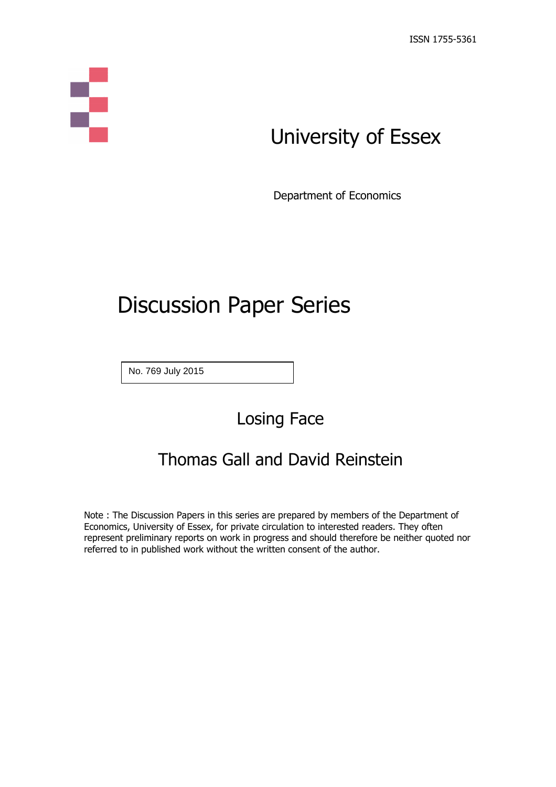# Ş

# University of Essex

Department of Economics

# Discussion Paper Series

No. 769 July 2015

Losing Face

## Thomas Gall and David Reinstein

Note : The Discussion Papers in this series are prepared by members of the Department of Economics, University of Essex, for private circulation to interested readers. They often represent preliminary reports on work in progress and should therefore be neither quoted nor referred to in published work without the written consent of the author.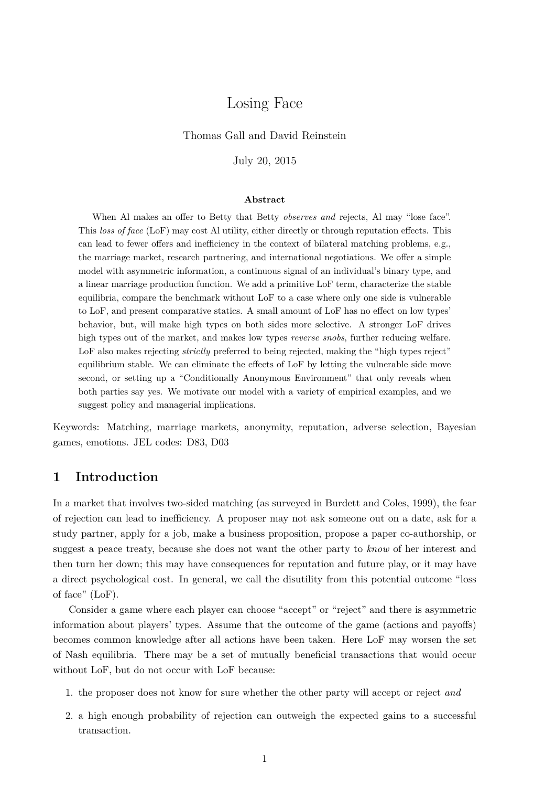## Losing Face

#### Thomas Gall and David Reinstein

July 20, 2015

#### **Abstract**

When Al makes an offer to Betty that Betty *observes and* rejects, Al may "lose face". This *loss of face* (LoF) may cost Al utility, either directly or through reputation effects. This can lead to fewer offers and inefficiency in the context of bilateral matching problems, e.g., the marriage market, research partnering, and international negotiations. We offer a simple model with asymmetric information, a continuous signal of an individual's binary type, and a linear marriage production function. We add a primitive LoF term, characterize the stable equilibria, compare the benchmark without LoF to a case where only one side is vulnerable to LoF, and present comparative statics. A small amount of LoF has no effect on low types' behavior, but, will make high types on both sides more selective. A stronger LoF drives high types out of the market, and makes low types *reverse snobs*, further reducing welfare. LoF also makes rejecting *strictly* preferred to being rejected, making the "high types reject" equilibrium stable. We can eliminate the effects of LoF by letting the vulnerable side move second, or setting up a "Conditionally Anonymous Environment" that only reveals when both parties say yes. We motivate our model with a variety of empirical examples, and we suggest policy and managerial implications.

Keywords: Matching, marriage markets, anonymity, reputation, adverse selection, Bayesian games, emotions. JEL codes: D83, D03

#### **1 Introduction**

In a market that involves two-sided matching (as surveyed in Burdett and Coles, 1999), the fear of rejection can lead to inefficiency. A proposer may not ask someone out on a date, ask for a study partner, apply for a job, make a business proposition, propose a paper co-authorship, or suggest a peace treaty, because she does not want the other party to *know* of her interest and then turn her down; this may have consequences for reputation and future play, or it may have a direct psychological cost. In general, we call the disutility from this potential outcome "loss of face" (LoF).

Consider a game where each player can choose "accept" or "reject" and there is asymmetric information about players' types. Assume that the outcome of the game (actions and payoffs) becomes common knowledge after all actions have been taken. Here LoF may worsen the set of Nash equilibria. There may be a set of mutually beneficial transactions that would occur without LoF, but do not occur with LoF because:

- 1. the proposer does not know for sure whether the other party will accept or reject *and*
- 2. a high enough probability of rejection can outweigh the expected gains to a successful transaction.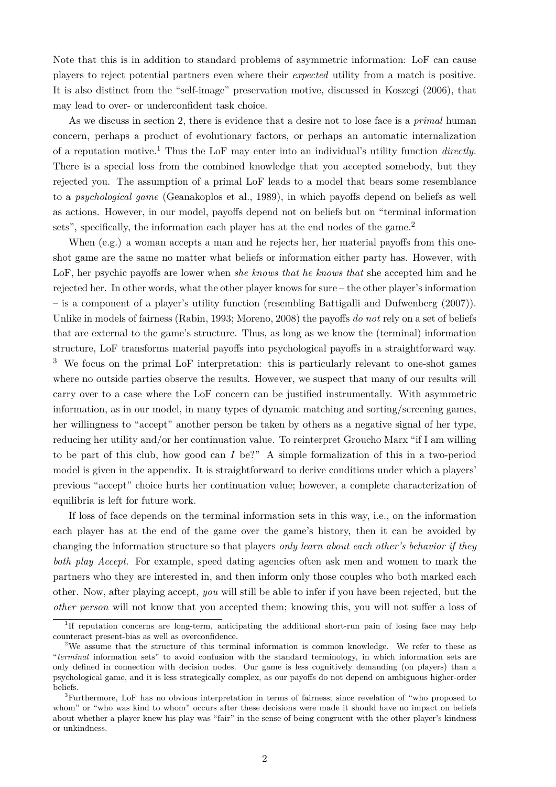Note that this is in addition to standard problems of asymmetric information: LoF can cause players to reject potential partners even where their *expected* utility from a match is positive. It is also distinct from the "self-image" preservation motive, discussed in Koszegi (2006), that may lead to over- or underconfident task choice.

As we discuss in section 2, there is evidence that a desire not to lose face is a *primal* human concern, perhaps a product of evolutionary factors, or perhaps an automatic internalization of a reputation motive.<sup>1</sup> Thus the LoF may enter into an individual's utility function *directly.* There is a special loss from the combined knowledge that you accepted somebody, but they rejected you. The assumption of a primal LoF leads to a model that bears some resemblance to a *psychological game* (Geanakoplos et al., 1989), in which payoffs depend on beliefs as well as actions. However, in our model, payoffs depend not on beliefs but on "terminal information sets", specifically, the information each player has at the end nodes of the game. $2$ 

When (e.g.) a woman accepts a man and he rejects her, her material payoffs from this oneshot game are the same no matter what beliefs or information either party has. However, with LoF, her psychic payoffs are lower when *she knows that he knows that* she accepted him and he rejected her. In other words, what the other player knows for sure – the other player's information – is a component of a player's utility function (resembling Battigalli and Dufwenberg (2007)). Unlike in models of fairness (Rabin, 1993; Moreno, 2008) the payoffs *do not* rely on a set of beliefs that are external to the game's structure. Thus, as long as we know the (terminal) information structure, LoF transforms material payoffs into psychological payoffs in a straightforward way. <sup>3</sup> We focus on the primal LoF interpretation: this is particularly relevant to one-shot games where no outside parties observe the results. However, we suspect that many of our results will carry over to a case where the LoF concern can be justified instrumentally. With asymmetric information, as in our model, in many types of dynamic matching and sorting/screening games, her willingness to "accept" another person be taken by others as a negative signal of her type, reducing her utility and/or her continuation value. To reinterpret Groucho Marx "if I am willing to be part of this club, how good can *I* be?" A simple formalization of this in a two-period model is given in the appendix. It is straightforward to derive conditions under which a players' previous "accept" choice hurts her continuation value; however, a complete characterization of equilibria is left for future work.

If loss of face depends on the terminal information sets in this way, i.e., on the information each player has at the end of the game over the game's history, then it can be avoided by changing the information structure so that players *only learn about each other's behavior if they both play Accept*. For example, speed dating agencies often ask men and women to mark the partners who they are interested in, and then inform only those couples who both marked each other. Now, after playing accept, *you* will still be able to infer if you have been rejected, but the *other person* will not know that you accepted them; knowing this, you will not suffer a loss of

<sup>&</sup>lt;sup>1</sup>If reputation concerns are long-term, anticipating the additional short-run pain of losing face may help counteract present-bias as well as overconfidence.

<sup>2</sup>We assume that the structure of this terminal information is common knowledge. We refer to these as "*terminal* information sets" to avoid confusion with the standard terminology, in which information sets are only defined in connection with decision nodes. Our game is less cognitively demanding (on players) than a psychological game, and it is less strategically complex, as our payoffs do not depend on ambiguous higher-order beliefs.

<sup>3</sup>Furthermore, LoF has no obvious interpretation in terms of fairness; since revelation of "who proposed to whom" or "who was kind to whom" occurs after these decisions were made it should have no impact on beliefs about whether a player knew his play was "fair" in the sense of being congruent with the other player's kindness or unkindness.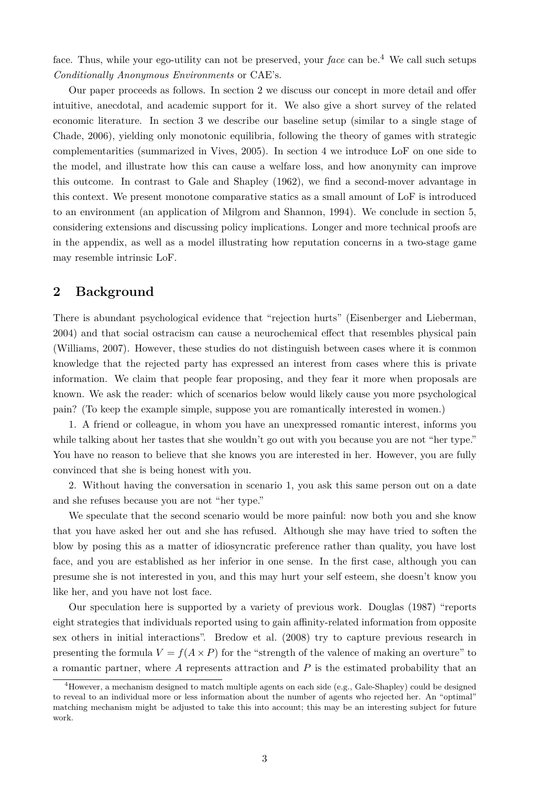face. Thus, while your ego-utility can not be preserved, your *face* can be.<sup>4</sup> We call such setups *Conditionally Anonymous Environments* or CAE's.

Our paper proceeds as follows. In section 2 we discuss our concept in more detail and offer intuitive, anecdotal, and academic support for it. We also give a short survey of the related economic literature. In section 3 we describe our baseline setup (similar to a single stage of Chade, 2006), yielding only monotonic equilibria, following the theory of games with strategic complementarities (summarized in Vives, 2005). In section 4 we introduce LoF on one side to the model, and illustrate how this can cause a welfare loss, and how anonymity can improve this outcome. In contrast to Gale and Shapley (1962), we find a second-mover advantage in this context. We present monotone comparative statics as a small amount of LoF is introduced to an environment (an application of Milgrom and Shannon, 1994). We conclude in section 5, considering extensions and discussing policy implications. Longer and more technical proofs are in the appendix, as well as a model illustrating how reputation concerns in a two-stage game may resemble intrinsic LoF.

#### **2 Background**

There is abundant psychological evidence that "rejection hurts" (Eisenberger and Lieberman, 2004) and that social ostracism can cause a neurochemical effect that resembles physical pain (Williams, 2007). However, these studies do not distinguish between cases where it is common knowledge that the rejected party has expressed an interest from cases where this is private information. We claim that people fear proposing, and they fear it more when proposals are known. We ask the reader: which of scenarios below would likely cause you more psychological pain? (To keep the example simple, suppose you are romantically interested in women.)

1. A friend or colleague, in whom you have an unexpressed romantic interest, informs you while talking about her tastes that she wouldn't go out with you because you are not "her type." You have no reason to believe that she knows you are interested in her. However, you are fully convinced that she is being honest with you.

2. Without having the conversation in scenario 1, you ask this same person out on a date and she refuses because you are not "her type."

We speculate that the second scenario would be more painful: now both you and she know that you have asked her out and she has refused. Although she may have tried to soften the blow by posing this as a matter of idiosyncratic preference rather than quality, you have lost face, and you are established as her inferior in one sense. In the first case, although you can presume she is not interested in you, and this may hurt your self esteem, she doesn't know you like her, and you have not lost face.

Our speculation here is supported by a variety of previous work. Douglas (1987) "reports eight strategies that individuals reported using to gain affinity-related information from opposite sex others in initial interactions". Bredow et al. (2008) try to capture previous research in presenting the formula  $V = f(A \times P)$  for the "strength of the valence of making an overture" to a romantic partner, where *A* represents attraction and *P* is the estimated probability that an

<sup>&</sup>lt;sup>4</sup>However, a mechanism designed to match multiple agents on each side (e.g., Gale-Shapley) could be designed to reveal to an individual more or less information about the number of agents who rejected her. An "optimal" matching mechanism might be adjusted to take this into account; this may be an interesting subject for future work.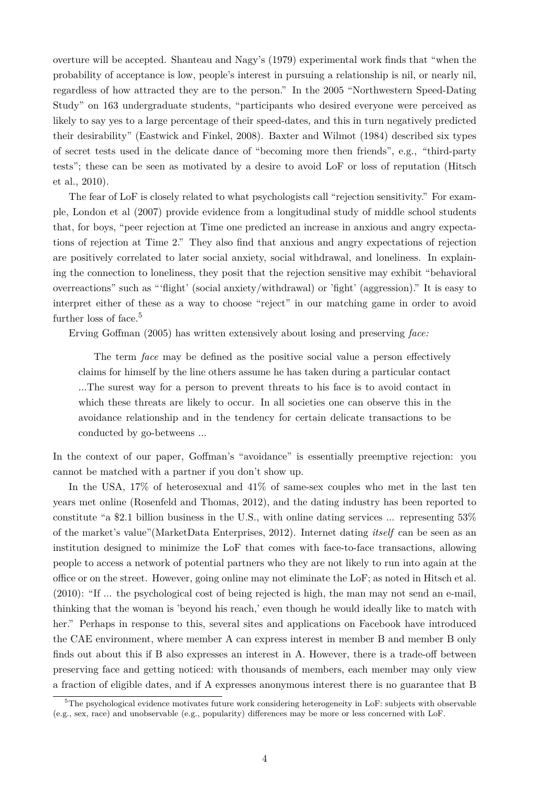overture will be accepted. Shanteau and Nagy's (1979) experimental work finds that "when the probability of acceptance is low, people's interest in pursuing a relationship is nil, or nearly nil, regardless of how attracted they are to the person." In the 2005 "Northwestern Speed-Dating Study" on 163 undergraduate students, "participants who desired everyone were perceived as likely to say yes to a large percentage of their speed-dates, and this in turn negatively predicted their desirability" (Eastwick and Finkel, 2008). Baxter and Wilmot (1984) described six types of secret tests used in the delicate dance of "becoming more then friends", e.g., *"*third-party tests"; these can be seen as motivated by a desire to avoid LoF or loss of reputation (Hitsch et al., 2010).

The fear of LoF is closely related to what psychologists call "rejection sensitivity." For example, London et al (2007) provide evidence from a longitudinal study of middle school students that, for boys, "peer rejection at Time one predicted an increase in anxious and angry expectations of rejection at Time 2." They also find that anxious and angry expectations of rejection are positively correlated to later social anxiety, social withdrawal, and loneliness. In explaining the connection to loneliness, they posit that the rejection sensitive may exhibit "behavioral overreactions" such as "'flight' (social anxiety/withdrawal) or 'fight' (aggression)." It is easy to interpret either of these as a way to choose "reject" in our matching game in order to avoid further loss of face.<sup>5</sup>

Erving Goffman (2005) has written extensively about losing and preserving *face:*

The term *face* may be defined as the positive social value a person effectively claims for himself by the line others assume he has taken during a particular contact ...The surest way for a person to prevent threats to his face is to avoid contact in which these threats are likely to occur. In all societies one can observe this in the avoidance relationship and in the tendency for certain delicate transactions to be conducted by go-betweens ...

In the context of our paper, Goffman's "avoidance" is essentially preemptive rejection: you cannot be matched with a partner if you don't show up.

In the USA, 17% of heterosexual and 41% of same-sex couples who met in the last ten years met online (Rosenfeld and Thomas, 2012), and the dating industry has been reported to constitute "a \$2.1 billion business in the U.S., with online dating services ... representing 53% of the market's value"(MarketData Enterprises, 2012). Internet dating *itself* can be seen as an institution designed to minimize the LoF that comes with face-to-face transactions, allowing people to access a network of potential partners who they are not likely to run into again at the office or on the street. However, going online may not eliminate the LoF; as noted in Hitsch et al. (2010): "If ... the psychological cost of being rejected is high, the man may not send an e-mail, thinking that the woman is 'beyond his reach,' even though he would ideally like to match with her." Perhaps in response to this, several sites and applications on Facebook have introduced the CAE environment, where member A can express interest in member B and member B only finds out about this if B also expresses an interest in A. However, there is a trade-off between preserving face and getting noticed: with thousands of members, each member may only view a fraction of eligible dates, and if A expresses anonymous interest there is no guarantee that B

<sup>&</sup>lt;sup>5</sup>The psychological evidence motivates future work considering heterogeneity in LoF: subjects with observable (e.g., sex, race) and unobservable (e.g., popularity) differences may be more or less concerned with LoF.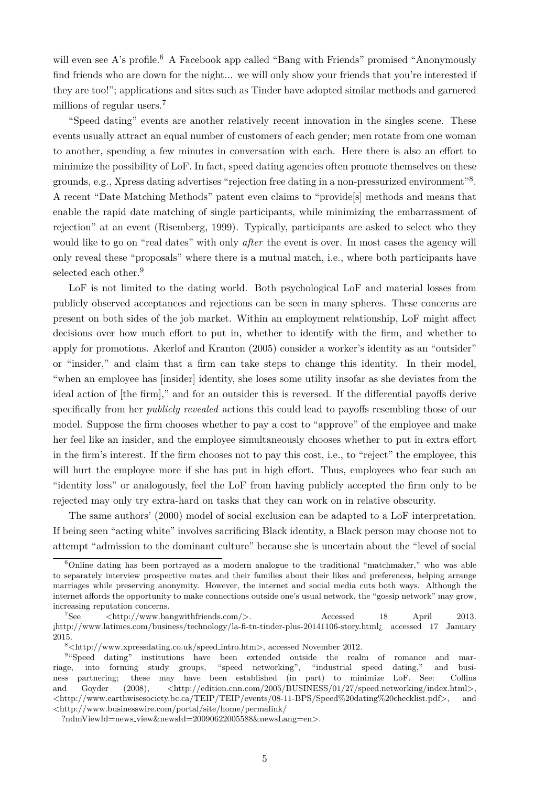will even see A's profile.<sup>6</sup> A Facebook app called "Bang with Friends" promised "Anonymously find friends who are down for the night... we will only show your friends that you're interested if they are too!"; applications and sites such as Tinder have adopted similar methods and garnered millions of regular users.<sup>7</sup>

"Speed dating" events are another relatively recent innovation in the singles scene. These events usually attract an equal number of customers of each gender; men rotate from one woman to another, spending a few minutes in conversation with each. Here there is also an effort to minimize the possibility of LoF. In fact, speed dating agencies often promote themselves on these grounds, e.g., Xpress dating advertises "rejection free dating in a non-pressurized environment"<sup>8</sup>. A recent "Date Matching Methods" patent even claims to "provide[s] methods and means that enable the rapid date matching of single participants, while minimizing the embarrassment of rejection" at an event (Risemberg, 1999). Typically, participants are asked to select who they would like to go on "real dates" with only *after* the event is over. In most cases the agency will only reveal these "proposals" where there is a mutual match, i.e., where both participants have selected each other.<sup>9</sup>

LoF is not limited to the dating world. Both psychological LoF and material losses from publicly observed acceptances and rejections can be seen in many spheres. These concerns are present on both sides of the job market. Within an employment relationship, LoF might affect decisions over how much effort to put in, whether to identify with the firm, and whether to apply for promotions. Akerlof and Kranton (2005) consider a worker's identity as an "outsider" or "insider," and claim that a firm can take steps to change this identity. In their model, "when an employee has [insider] identity, she loses some utility insofar as she deviates from the ideal action of [the firm]," and for an outsider this is reversed. If the differential payoffs derive specifically from her *publicly revealed* actions this could lead to payoffs resembling those of our model. Suppose the firm chooses whether to pay a cost to "approve" of the employee and make her feel like an insider, and the employee simultaneously chooses whether to put in extra effort in the firm's interest. If the firm chooses not to pay this cost, i.e., to "reject" the employee, this will hurt the employee more if she has put in high effort. Thus, employees who fear such an "identity loss" or analogously, feel the LoF from having publicly accepted the firm only to be rejected may only try extra-hard on tasks that they can work on in relative obscurity.

The same authors' (2000) model of social exclusion can be adapted to a LoF interpretation. If being seen "acting white" involves sacrificing Black identity, a Black person may choose not to attempt "admission to the dominant culture" because she is uncertain about the "level of social

<sup>6</sup>Online dating has been portrayed as a modern analogue to the traditional "matchmaker," who was able to separately interview prospective mates and their families about their likes and preferences, helping arrange marriages while preserving anonymity. However, the internet and social media cuts both ways. Although the internet affords the opportunity to make connections outside one's usual network, the "gossip network" may grow, increasing reputation concerns.

<sup>7</sup>See *<*http://www.bangwithfriends.com/*>*. Accessed 18 April 2013. ¡http://www.latimes.com/business/technology/la-fi-tn-tinder-plus-20141106-story.html¿ accessed 17 January 2015.

<sup>8</sup>*<*http://www.xpressdating.co.uk/speed intro.htm*>*, accessed November 2012.

<sup>&</sup>lt;sup>9</sup>"Speed dating" institutions have been extended outside the realm of romance and marriage, into forming study groups, "speed networking", "industrial speed dating," and business partnering; these may have been established (in part) to minimize LoF. See: Collins and Goyder (2008), *<*http://edition.cnn.com/2005/BUSINESS/01/27/speed.networking/index.html*>*, *<*http://www.earthwisesociety.bc.ca/TEIP/TEIP/events/08-11-BPS/Speed%20dating%20checklist.pdf*>*, and *<*http://www.businesswire.com/portal/site/home/permalink/

<sup>?</sup>ndmViewId=news view&newsId=20090622005588&newsLang=en*>*.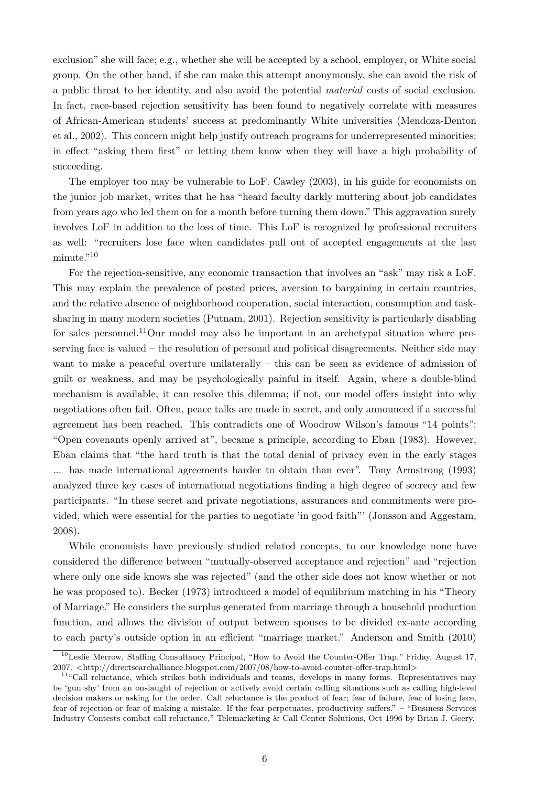exclusion" she will face; e.g., whether she will be accepted by a school, employer, or White social group. On the other hand, if she can make this attempt anonymously, she can avoid the risk of a public threat to her identity, and also avoid the potential *material* costs of social exclusion. In fact, race-based rejection sensitivity has been found to negatively correlate with measures of African-American students' success at predominantly White universities (Mendoza-Denton et al., 2002). This concern might help justify outreach programs for underrepresented minorities; in effect "asking them first" or letting them know when they will have a high probability of succeeding.

The employer too may be vulnerable to LoF. Cawley (2003), in his guide for economists on the junior job market, writes that he has "heard faculty darkly muttering about job candidates from years ago who led them on for a month before turning them down." This aggravation surely involves LoF in addition to the loss of time. This LoF is recognized by professional recruiters as well: "recruiters lose face when candidates pull out of accepted engagements at the last minute."<sup>10</sup>

For the rejection-sensitive, any economic transaction that involves an "ask" may risk a LoF. This may explain the prevalence of posted prices, aversion to bargaining in certain countries, and the relative absence of neighborhood cooperation, social interaction, consumption and tasksharing in many modern societies (Putnam, 2001). Rejection sensitivity is particularly disabling for sales personnel.<sup>11</sup>Our model may also be important in an archetypal situation where preserving face is valued – the resolution of personal and political disagreements. Neither side may want to make a peaceful overture unilaterally – this can be seen as evidence of admission of guilt or weakness, and may be psychologically painful in itself. Again, where a double-blind mechanism is available, it can resolve this dilemma; if not, our model offers insight into why negotiations often fail. Often, peace talks are made in secret, and only announced if a successful agreement has been reached. This contradicts one of Woodrow Wilson's famous "14 points": "Open covenants openly arrived at", became a principle, according to Eban (1983). However, Eban claims that "the hard truth is that the total denial of privacy even in the early stages ... has made international agreements harder to obtain than ever". Tony Armstrong (1993) analyzed three key cases of international negotiations finding a high degree of secrecy and few participants. "In these secret and private negotiations, assurances and commitments were provided, which were essential for the parties to negotiate 'in good faith"' (Jonsson and Aggestam, 2008).

While economists have previously studied related concepts, to our knowledge none have considered the difference between "mutually-observed acceptance and rejection" and "rejection where only one side knows she was rejected" (and the other side does not know whether or not he was proposed to). Becker (1973) introduced a model of equilibrium matching in his "Theory of Marriage." He considers the surplus generated from marriage through a household production function, and allows the division of output between spouses to be divided ex-ante according to each party's outside option in an efficient "marriage market." Anderson and Smith (2010)

<sup>10</sup>Leslie Merrow, Staffing Consultancy Principal, "How to Avoid the Counter-Offer Trap," Friday, August 17, 2007. *<*http://directsearchalliance.blogspot.com/2007/08/how-to-avoid-counter-offer-trap.html*>*

 $11\textdegree$ Call reluctance, which strikes both individuals and teams, develops in many forms. Representatives may be 'gun shy' from an onslaught of rejection or actively avoid certain calling situations such as calling high-level decision makers or asking for the order. Call reluctance is the product of fear; fear of failure, fear of losing face, fear of rejection or fear of making a mistake. If the fear perpetuates, productivity suffers." – "Business Services Industry Contests combat call reluctance," Telemarketing & Call Center Solutions, Oct 1996 by Brian J. Geery.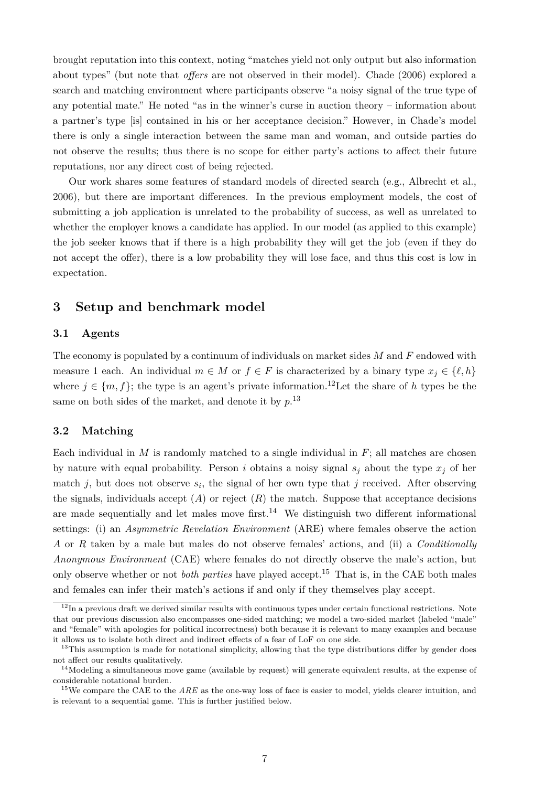brought reputation into this context, noting "matches yield not only output but also information about types" (but note that *offers* are not observed in their model). Chade (2006) explored a search and matching environment where participants observe "a noisy signal of the true type of any potential mate." He noted "as in the winner's curse in auction theory – information about a partner's type [is] contained in his or her acceptance decision." However, in Chade's model there is only a single interaction between the same man and woman, and outside parties do not observe the results; thus there is no scope for either party's actions to affect their future reputations, nor any direct cost of being rejected.

Our work shares some features of standard models of directed search (e.g., Albrecht et al., 2006), but there are important differences. In the previous employment models, the cost of submitting a job application is unrelated to the probability of success, as well as unrelated to whether the employer knows a candidate has applied. In our model (as applied to this example) the job seeker knows that if there is a high probability they will get the job (even if they do not accept the offer), there is a low probability they will lose face, and thus this cost is low in expectation.

#### **3 Setup and benchmark model**

#### **3.1 Agents**

The economy is populated by a continuum of individuals on market sides *M* and *F* endowed with measure 1 each. An individual  $m \in M$  or  $f \in F$  is characterized by a binary type  $x_j \in \{\ell, h\}$ where  $j \in \{m, f\}$ ; the type is an agent's private information.<sup>12</sup>Let the share of *h* types be the same on both sides of the market, and denote it by *p*. 13

#### **3.2 Matching**

Each individual in  $M$  is randomly matched to a single individual in  $F$ ; all matches are chosen by nature with equal probability. Person *i* obtains a noisy signal  $s_j$  about the type  $x_j$  of her match  $j$ , but does not observe  $s_i$ , the signal of her own type that  $j$  received. After observing the signals, individuals accept  $(A)$  or reject  $(R)$  the match. Suppose that acceptance decisions are made sequentially and let males move first.<sup>14</sup> We distinguish two different informational settings: (i) an *Asymmetric Revelation Environment* (ARE) where females observe the action *A* or *R* taken by a male but males do not observe females' actions, and (ii) a *Conditionally Anonymous Environment* (CAE) where females do not directly observe the male's action, but only observe whether or not *both parties* have played accept.<sup>15</sup> That is, in the CAE both males and females can infer their match's actions if and only if they themselves play accept.

 $12$ In a previous draft we derived similar results with continuous types under certain functional restrictions. Note that our previous discussion also encompasses one-sided matching; we model a two-sided market (labeled "male" and "female" with apologies for political incorrectness) both because it is relevant to many examples and because it allows us to isolate both direct and indirect effects of a fear of LoF on one side.

<sup>&</sup>lt;sup>13</sup>This assumption is made for notational simplicity, allowing that the type distributions differ by gender does not affect our results qualitatively.

<sup>&</sup>lt;sup>14</sup>Modeling a simultaneous move game (available by request) will generate equivalent results, at the expense of considerable notational burden.

<sup>&</sup>lt;sup>15</sup>We compare the CAE to the *ARE* as the one-way loss of face is easier to model, yields clearer intuition, and is relevant to a sequential game. This is further justified below.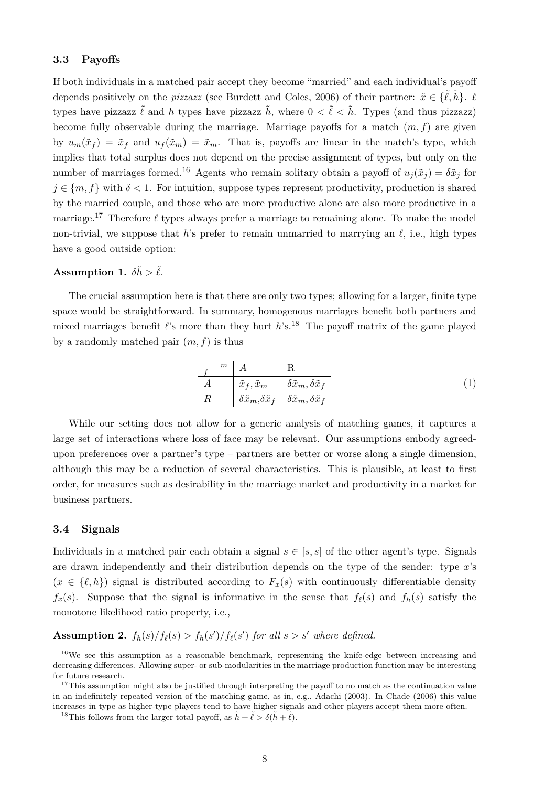#### **3.3 Payoffs**

If both individuals in a matched pair accept they become "married" and each individual's payoff depends positively on the *pizzazz* (see Burdett and Coles, 2006) of their partner:  $\tilde{x} \in \{\tilde{\ell}, \tilde{h}\}$ .  $\ell$ types have pizzazz  $\tilde{\ell}$  and *h* types have pizzazz  $\tilde{h}$ , where  $0 < \tilde{\ell} < \tilde{h}$ . Types (and thus pizzazz) become fully observable during the marriage. Marriage payoffs for a match  $(m, f)$  are given by  $u_m(\tilde{x}_f) = \tilde{x}_f$  and  $u_f(\tilde{x}_m) = \tilde{x}_m$ . That is, payoffs are linear in the match's type, which implies that total surplus does not depend on the precise assignment of types, but only on the number of marriages formed.<sup>16</sup> Agents who remain solitary obtain a payoff of  $u_i(\tilde{x}_i) = \delta \tilde{x}_i$  for  $j \in \{m, f\}$  with  $\delta < 1$ . For intuition, suppose types represent productivity, production is shared by the married couple, and those who are more productive alone are also more productive in a marriage.<sup>17</sup> Therefore  $\ell$  types always prefer a marriage to remaining alone. To make the model non-trivial, we suppose that  $h$ 's prefer to remain unmarried to marrying an  $\ell$ , i.e., high types have a good outside option:

#### **Assumption 1.**  $\delta \tilde{h} > \tilde{\ell}$ .

The crucial assumption here is that there are only two types; allowing for a larger, finite type space would be straightforward. In summary, homogenous marriages benefit both partners and mixed marriages benefit  $\ell$ 's more than they hurt  $h$ 's.<sup>18</sup> The payoff matrix of the game played by a randomly matched pair (*m, f*) is thus

$$
\begin{array}{ccc}\n f & \stackrel{m}{\longrightarrow} & A \\
 A & \tilde{x}_f, \tilde{x}_m & \delta \tilde{x}_m, \delta \tilde{x}_f \\
 R & \delta \tilde{x}_m, \delta \tilde{x}_f & \delta \tilde{x}_m, \delta \tilde{x}_f\n \end{array}\n \tag{1}
$$

While our setting does not allow for a generic analysis of matching games, it captures a large set of interactions where loss of face may be relevant. Our assumptions embody agreedupon preferences over a partner's type – partners are better or worse along a single dimension, although this may be a reduction of several characteristics. This is plausible, at least to first order, for measures such as desirability in the marriage market and productivity in a market for business partners.

#### **3.4 Signals**

Individuals in a matched pair each obtain a signal  $s \in [s, \overline{s}]$  of the other agent's type. Signals are drawn independently and their distribution depends on the type of the sender: type *x*'s  $(x \in \{\ell, h\})$  signal is distributed according to  $F_x(s)$  with continuously differentiable density  $f_x(s)$ . Suppose that the signal is informative in the sense that  $f_\ell(s)$  and  $f_h(s)$  satisfy the monotone likelihood ratio property, i.e.,

**Assumption 2.**  $f_h(s)/f_{\ell}(s) > f_h(s')/f_{\ell}(s')$  for all  $s > s'$  where defined.

<sup>&</sup>lt;sup>16</sup>We see this assumption as a reasonable benchmark, representing the knife-edge between increasing and decreasing differences. Allowing super- or sub-modularities in the marriage production function may be interesting for future research.

 $17$ This assumption might also be justified through interpreting the payoff to no match as the continuation value in an indefinitely repeated version of the matching game, as in, e.g., Adachi (2003). In Chade (2006) this value increases in type as higher-type players tend to have higher signals and other players accept them more often.

<sup>&</sup>lt;sup>18</sup>This follows from the larger total payoff, as  $\tilde{h} + \tilde{\ell} > \delta(\tilde{h} + \tilde{\ell})$ .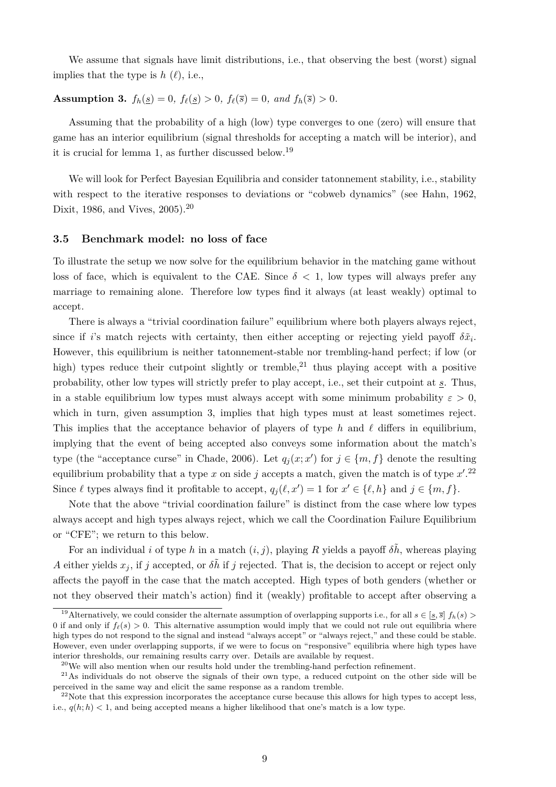We assume that signals have limit distributions, i.e., that observing the best (worst) signal implies that the type is  $h(\ell)$ , i.e.,

#### **Assumption 3.**  $f_h(s) = 0$ ,  $f_{\ell}(s) > 0$ ,  $f_{\ell}(\overline{s}) = 0$ , and  $f_h(\overline{s}) > 0$ .

Assuming that the probability of a high (low) type converges to one (zero) will ensure that game has an interior equilibrium (signal thresholds for accepting a match will be interior), and it is crucial for lemma 1, as further discussed below.<sup>19</sup>

We will look for Perfect Bayesian Equilibria and consider tatonnement stability, i.e., stability with respect to the iterative responses to deviations or "cobweb dynamics" (see Hahn, 1962, Dixit, 1986, and Vives, 2005).<sup>20</sup>

#### **3.5 Benchmark model: no loss of face**

To illustrate the setup we now solve for the equilibrium behavior in the matching game without loss of face, which is equivalent to the CAE. Since  $\delta$  < 1, low types will always prefer any marriage to remaining alone. Therefore low types find it always (at least weakly) optimal to accept.

There is always a "trivial coordination failure" equilibrium where both players always reject, since if *i*'s match rejects with certainty, then either accepting or rejecting yield payoff  $\delta \tilde{x}_i$ . However, this equilibrium is neither tatonnement-stable nor trembling-hand perfect; if low (or high) types reduce their cutpoint slightly or tremble,<sup>21</sup> thus playing accept with a positive probability, other low types will strictly prefer to play accept, i.e., set their cutpoint at *s*. Thus, in a stable equilibrium low types must always accept with some minimum probability  $\varepsilon > 0$ , which in turn, given assumption 3, implies that high types must at least sometimes reject. This implies that the acceptance behavior of players of type h and  $\ell$  differs in equilibrium, implying that the event of being accepted also conveys some information about the match's type (the "acceptance curse" in Chade, 2006). Let  $q_j(x; x')$  for  $j \in \{m, f\}$  denote the resulting equilibrium probability that a type  $x$  on side  $j$  accepts a match, given the match is of type  $x'.^{22}$ Since  $\ell$  types always find it profitable to accept,  $q_j(\ell, x') = 1$  for  $x' \in \{\ell, h\}$  and  $j \in \{m, f\}$ .

Note that the above "trivial coordination failure" is distinct from the case where low types always accept and high types always reject, which we call the Coordination Failure Equilibrium or "CFE"; we return to this below.

For an individual *i* of type *h* in a match  $(i, j)$ , playing *R* yields a payoff  $\delta \tilde{h}$ , whereas playing *A* either yields  $x_j$ , if *j* accepted, or  $\delta \tilde{h}$  if *j* rejected. That is, the decision to accept or reject only affects the payoff in the case that the match accepted. High types of both genders (whether or not they observed their match's action) find it (weakly) profitable to accept after observing a

<sup>&</sup>lt;sup>19</sup>Alternatively, we could consider the alternate assumption of overlapping supports i.e., for all  $s \in [s, \overline{s}]$   $f_h(s)$ 0 if and only if  $f_{\ell}(s) > 0$ . This alternative assumption would imply that we could not rule out equilibria where high types do not respond to the signal and instead "always accept" or "always reject," and these could be stable. However, even under overlapping supports, if we were to focus on "responsive" equilibria where high types have interior thresholds, our remaining results carry over. Details are available by request.

 $^{20}$ We will also mention when our results hold under the trembling-hand perfection refinement.

<sup>&</sup>lt;sup>21</sup>As individuals do not observe the signals of their own type, a reduced cutpoint on the other side will be perceived in the same way and elicit the same response as a random tremble.

 $22$ Note that this expression incorporates the acceptance curse because this allows for high types to accept less, i.e.,  $q(h; h) < 1$ , and being accepted means a higher likelihood that one's match is a low type.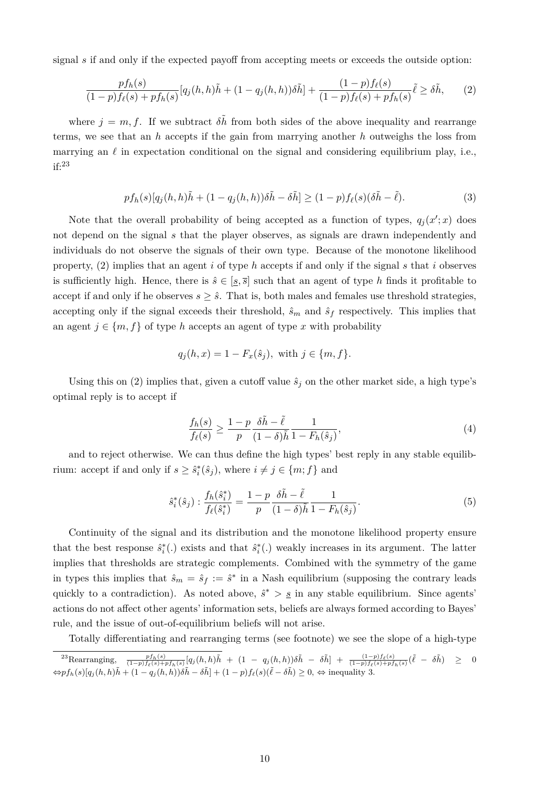signal *s* if and only if the expected payoff from accepting meets or exceeds the outside option:

$$
\frac{pf_h(s)}{(1-p)f_{\ell}(s)+pf_h(s)}[q_j(h,h)\tilde{h} + (1-q_j(h,h))\delta\tilde{h}] + \frac{(1-p)f_{\ell}(s)}{(1-p)f_{\ell}(s)+pf_h(s)}\tilde{\ell} \ge \delta\tilde{h},\qquad(2)
$$

where  $j = m, f$ . If we subtract  $\delta \tilde{h}$  from both sides of the above inequality and rearrange terms, we see that an *h* accepts if the gain from marrying another *h* outweighs the loss from marrying an  $\ell$  in expectation conditional on the signal and considering equilibrium play, i.e., if:<sup>23</sup>

$$
pf_h(s)[q_j(h,h)\tilde{h} + (1 - q_j(h,h))\delta\tilde{h} - \delta\tilde{h}] \ge (1 - p)f_{\ell}(s)(\delta\tilde{h} - \tilde{\ell}).
$$
\n(3)

Note that the overall probability of being accepted as a function of types,  $q_j(x';x)$  does not depend on the signal *s* that the player observes, as signals are drawn independently and individuals do not observe the signals of their own type. Because of the monotone likelihood property, (2) implies that an agent *i* of type *h* accepts if and only if the signal *s* that *i* observes is sufficiently high. Hence, there is  $\hat{s} \in [\underline{s}, \overline{s}]$  such that an agent of type *h* finds it profitable to accept if and only if he observes  $s \geq \hat{s}$ . That is, both males and females use threshold strategies, accepting only if the signal exceeds their threshold,  $\hat{s}_m$  and  $\hat{s}_f$  respectively. This implies that an agent  $j \in \{m, f\}$  of type *h* accepts an agent of type *x* with probability

$$
q_j(h, x) = 1 - F_x(\hat{s}_j)
$$
, with  $j \in \{m, f\}$ .

Using this on (2) implies that, given a cutoff value  $\hat{s}_j$  on the other market side, a high type's optimal reply is to accept if

$$
\frac{f_h(s)}{f_{\ell}(s)} \ge \frac{1-p}{p} \frac{\delta \tilde{h} - \tilde{\ell}}{(1-\delta)\tilde{h}} \frac{1}{1 - F_h(\hat{s}_j)},\tag{4}
$$

and to reject otherwise. We can thus define the high types' best reply in any stable equilibrium: accept if and only if  $s \geq \hat{s}_i^*(\hat{s}_j)$ , where  $i \neq j \in \{m; f\}$  and

$$
\hat{s}_{i}^{*}(\hat{s}_{j}) : \frac{f_{h}(\hat{s}_{i}^{*})}{f_{\ell}(\hat{s}_{i}^{*})} = \frac{1-p}{p} \frac{\delta \tilde{h} - \tilde{\ell}}{(1-\delta)\tilde{h}} \frac{1}{1 - F_{h}(\hat{s}_{j})}.
$$
\n(5)

Continuity of the signal and its distribution and the monotone likelihood property ensure that the best response  $\hat{s}_i^*$ . exists and that  $\hat{s}_i^*$ . weakly increases in its argument. The latter implies that thresholds are strategic complements. Combined with the symmetry of the game in types this implies that  $\hat{s}_m = \hat{s}_f := \hat{s}^*$  in a Nash equilibrium (supposing the contrary leads quickly to a contradiction). As noted above,  $\hat{s}^* > \underline{s}$  in any stable equilibrium. Since agents' actions do not affect other agents' information sets, beliefs are always formed according to Bayes' rule, and the issue of out-of-equilibrium beliefs will not arise.

Totally differentiating and rearranging terms (see footnote) we see the slope of a high-type

<sup>&</sup>lt;sup>23</sup>Rearranging,  $\frac{pf_h(s)}{(1-p)f_{\ell}(s)+pf_h(s)}[q_j(h,h)\tilde{h} + (1-q_j(h,h))\delta\tilde{h} - \delta\tilde{h}] + \frac{(1-p)f_{\ell}(s)}{(1-p)f_{\ell}(s)+pf_h(s)}(\tilde{\ell} - \delta\tilde{h}) \geq 0$  $\Leftrightarrow pf_h(s)[q_j(h, h)\tilde{h} + (1 - q_j(h, h))\delta\tilde{h} - \delta\tilde{h}] + (1 - p)f_\ell(s)(\tilde{\ell} - \delta\tilde{h}) \geq 0, \Leftrightarrow$  inequality 3.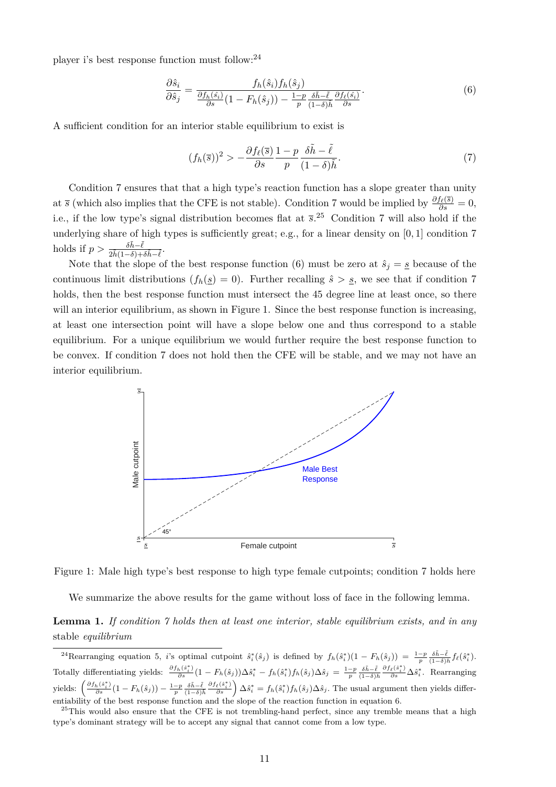player i's best response function must follow:<sup>24</sup>

$$
\frac{\partial \hat{s}_i}{\partial \hat{s}_j} = \frac{f_h(\hat{s}_i) f_h(\hat{s}_j)}{\frac{\partial f_h(\hat{s}_i)}{\partial s} (1 - F_h(\hat{s}_j)) - \frac{1 - p}{p} \frac{\delta \tilde{h} - \tilde{\ell}}{(1 - \delta) \tilde{h}} \frac{\partial f_\ell(\hat{s}_i)}{\partial s}}.
$$
(6)

A sufficient condition for an interior stable equilibrium to exist is

$$
(f_h(\overline{s}))^2 > -\frac{\partial f_\ell(\overline{s})}{\partial s} \frac{1-p}{p} \frac{\delta \tilde{h} - \tilde{\ell}}{(1-\delta)\tilde{h}}.\tag{7}
$$

Condition 7 ensures that that a high type's reaction function has a slope greater than unity at *s* (which also implies that the CFE is not stable). Condition 7 would be implied by  $\frac{\partial f_{\ell}(\bar{s})}{\partial s} = 0$ , i.e., if the low type's signal distribution becomes flat at *s*. <sup>25</sup> Condition 7 will also hold if the underlying share of high types is sufficiently great; e.g., for a linear density on [0*,* 1] condition 7 holds if  $p > \frac{\delta \tilde{h} - \tilde{\ell}}{2\tilde{h}(1-\delta) + \delta \tilde{h} - \tilde{\ell}}$ .

Note that the slope of the best response function (6) must be zero at  $\hat{s}_j = \underline{s}$  because of the continuous limit distributions  $(f_h(s) = 0)$ . Further recalling  $\hat{s} > s$ , we see that if condition 7 holds, then the best response function must intersect the 45 degree line at least once, so there will an interior equilibrium, as shown in Figure 1. Since the best response function is increasing, at least one intersection point will have a slope below one and thus correspond to a stable equilibrium. For a unique equilibrium we would further require the best response function to be convex. If condition 7 does not hold then the CFE will be stable, and we may not have an interior equilibrium.





We summarize the above results for the game without loss of face in the following lemma.

#### **Lemma 1.** *If condition 7 holds then at least one interior, stable equilibrium exists, and in any* stable *equilibrium*

<sup>&</sup>lt;sup>24</sup>Rearranging equation 5, *i*'s optimal cutpoint  $\hat{s}_i^*(\hat{s}_j)$  is defined by  $f_h(\hat{s}_i^*)(1 - F_h(\hat{s}_j)) = \frac{1-p}{p} \frac{\delta \tilde{h} - \tilde{\ell}}{(1-\delta)\tilde{h}} f_{\ell}(\hat{s}_i^*)$ . Totally differentiating yields:  $\frac{\partial f_h(\hat{s}_i^*)}{\partial s}(1 - F_h(\hat{s}_j))\Delta \hat{s}_i^* - f_h(\hat{s}_i^*)f_h(\hat{s}_j)\Delta \hat{s}_j = \frac{1-p}{p} \frac{\delta \tilde{h}-\tilde{\ell}}{(1-\delta)\tilde{h}} \frac{\partial f_{\ell}(\hat{s}_i^*)}{\partial s}\Delta \hat{s}_i^*$ . Rearranging yields:  $\left(\frac{\partial f_h(\hat{s}_i^*)}{\partial s}(1 - F_h(\hat{s}_j)) - \frac{1-p}{p}\frac{\delta \tilde{h}-\tilde{\ell}}{(1-\delta)\tilde{h}}\frac{\partial f_{\ell}(\hat{s}_i^*)}{\partial s}\right)\Delta \hat{s}_i^* = f_h(\hat{s}_i^*)f_h(\hat{s}_j)\Delta \hat{s}_j$ . The usual argument then yields differentiability of the best response function and the slope of the reaction function in equation 6.

<sup>&</sup>lt;sup>25</sup>This would also ensure that the CFE is not trembling-hand perfect, since any tremble means that a high type's dominant strategy will be to accept any signal that cannot come from a low type.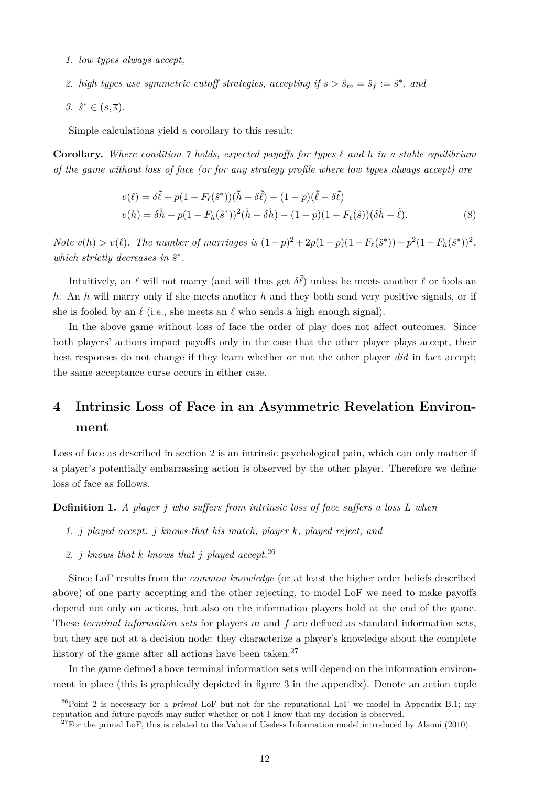- *1. low types always accept,*
- 2. *high types use symmetric cutoff strategies, accepting if*  $s > \hat{s}_m = \hat{s}_f := \hat{s}^*$ , and
- *3.*  $\hat{s}^* \in (\underline{s}, \overline{s})$ .

Simple calculations yield a corollary to this result:

**Corollary.** Where condition 7 holds, expected payoffs for types  $\ell$  and  $h$  in a stable equilibrium *of the game without loss of face (or for any strategy profile where low types always accept) are*

$$
v(\ell) = \delta \tilde{\ell} + p(1 - F_{\ell}(\hat{s}^{*})) (\tilde{h} - \delta \tilde{\ell}) + (1 - p)(\tilde{\ell} - \delta \tilde{\ell})
$$
  

$$
v(h) = \delta \tilde{h} + p(1 - F_{h}(\hat{s}^{*}))^{2} (\tilde{h} - \delta \tilde{h}) - (1 - p)(1 - F_{\ell}(\hat{s})) (\delta \tilde{h} - \tilde{\ell}).
$$
 (8)

*Note*  $v(h) > v(\ell)$ . The number of marriages is  $(1-p)^2 + 2p(1-p)(1-F_{\ell}(\hat{s}^*)) + p^2(1-F_h(\hat{s}^*))^2$ , *which strictly decreases in*  $\hat{s}^*$ .

Intuitively, an  $\ell$  will not marry (and will thus get  $\delta\tilde{\ell}$ ) unless he meets another  $\ell$  or fools an *h*. An *h* will marry only if she meets another *h* and they both send very positive signals, or if she is fooled by an  $\ell$  (i.e., she meets an  $\ell$  who sends a high enough signal).

In the above game without loss of face the order of play does not affect outcomes. Since both players' actions impact payoffs only in the case that the other player plays accept, their best responses do not change if they learn whether or not the other player *did* in fact accept; the same acceptance curse occurs in either case.

## **4 Intrinsic Loss of Face in an Asymmetric Revelation Environment**

Loss of face as described in section 2 is an intrinsic psychological pain, which can only matter if a player's potentially embarrassing action is observed by the other player. Therefore we define loss of face as follows.

**Definition 1.** *A player j who suffers from intrinsic loss of face suffers a loss L when*

- *1. j played accept. j knows that his match, player k, played reject, and*
- *2. j knows that k knows that j played accept.*<sup>26</sup>

Since LoF results from the *common knowledge* (or at least the higher order beliefs described above) of one party accepting and the other rejecting, to model LoF we need to make payoffs depend not only on actions, but also on the information players hold at the end of the game. These *terminal information sets* for players *m* and *f* are defined as standard information sets, but they are not at a decision node: they characterize a player's knowledge about the complete history of the game after all actions have been taken.<sup>27</sup>

In the game defined above terminal information sets will depend on the information environment in place (this is graphically depicted in figure 3 in the appendix). Denote an action tuple

<sup>&</sup>lt;sup>26</sup>Point 2 is necessary for a *primal* LoF but not for the reputational LoF we model in Appendix B.1; my reputation and future payoffs may suffer whether or not I know that my decision is observed.

 $^{27}$ For the primal LoF, this is related to the Value of Useless Information model introduced by Alaoui (2010).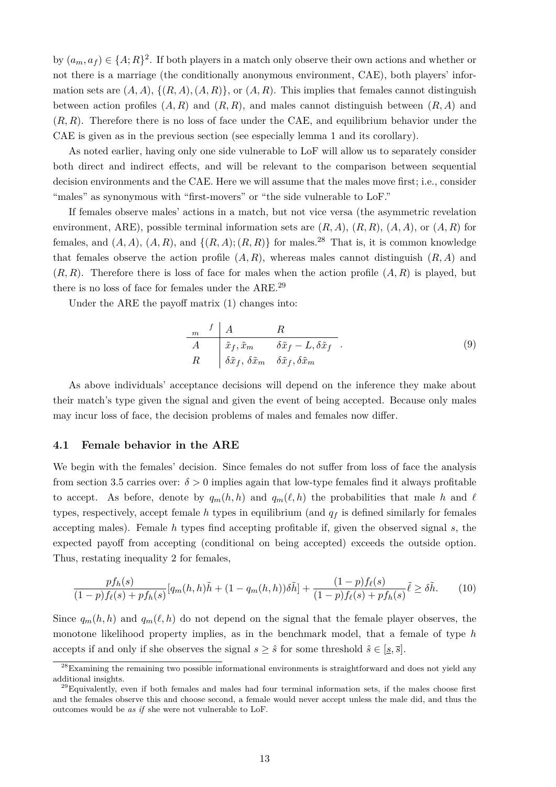by  $(a_m, a_f) \in \{A; R\}^2$ . If both players in a match only observe their own actions and whether or not there is a marriage (the conditionally anonymous environment, CAE), both players' information sets are  $(A, A)$ ,  $\{(R, A), (A, R)\}$ , or  $(A, R)$ . This implies that females cannot distinguish between action profiles  $(A, R)$  and  $(R, R)$ , and males cannot distinguish between  $(R, A)$  and (*R, R*). Therefore there is no loss of face under the CAE, and equilibrium behavior under the CAE is given as in the previous section (see especially lemma 1 and its corollary).

As noted earlier, having only one side vulnerable to LoF will allow us to separately consider both direct and indirect effects, and will be relevant to the comparison between sequential decision environments and the CAE. Here we will assume that the males move first; i.e., consider "males" as synonymous with "first-movers" or "the side vulnerable to LoF."

If females observe males' actions in a match, but not vice versa (the asymmetric revelation environment, ARE), possible terminal information sets are (*R, A*), (*R, R*), (*A, A*), or (*A, R*) for females, and  $(A, A)$ ,  $(A, R)$ , and  $\{(R, A)$ ;  $(R, R)\}$  for males.<sup>28</sup> That is, it is common knowledge that females observe the action profile  $(A, R)$ , whereas males cannot distinguish  $(R, A)$  and  $(R, R)$ . Therefore there is loss of face for males when the action profile  $(A, R)$  is played, but there is no loss of face for females under the ARE.<sup>29</sup>

Under the ARE the payoff matrix (1) changes into:

$$
\begin{array}{c|cc}\n & f & A & R \\
\hline\nA & \tilde{x}_f, \tilde{x}_m & \delta \tilde{x}_f - L, \delta \tilde{x}_f \\
R & \delta \tilde{x}_f, \delta \tilde{x}_m & \delta \tilde{x}_f, \delta \tilde{x}_m\n\end{array} \tag{9}
$$

As above individuals' acceptance decisions will depend on the inference they make about their match's type given the signal and given the event of being accepted. Because only males may incur loss of face, the decision problems of males and females now differ.

#### **4.1 Female behavior in the ARE**

We begin with the females' decision. Since females do not suffer from loss of face the analysis from section 3.5 carries over:  $\delta > 0$  implies again that low-type females find it always profitable to accept. As before, denote by  $q_m(h, h)$  and  $q_m(\ell, h)$  the probabilities that male *h* and  $\ell$ types, respectively, accept female  $h$  types in equilibrium (and  $q_f$  is defined similarly for females accepting males). Female *h* types find accepting profitable if, given the observed signal *s*, the expected payoff from accepting (conditional on being accepted) exceeds the outside option. Thus, restating inequality 2 for females,

$$
\frac{pf_h(s)}{(1-p)f_{\ell}(s)+pf_h(s)}[q_m(h,h)\tilde{h} + (1-q_m(h,h))\delta\tilde{h}] + \frac{(1-p)f_{\ell}(s)}{(1-p)f_{\ell}(s)+pf_h(s)}\tilde{\ell} \ge \delta\tilde{h}.
$$
 (10)

Since  $q_m(h, h)$  and  $q_m(\ell, h)$  do not depend on the signal that the female player observes, the monotone likelihood property implies, as in the benchmark model, that a female of type *h* accepts if and only if she observes the signal  $s \geq \hat{s}$  for some threshold  $\hat{s} \in [s, \overline{s}]$ .

<sup>&</sup>lt;sup>28</sup>Examining the remaining two possible informational environments is straightforward and does not yield any additional insights.

 $29E$ quivalently, even if both females and males had four terminal information sets, if the males choose first and the females observe this and choose second, a female would never accept unless the male did, and thus the outcomes would be *as if* she were not vulnerable to LoF.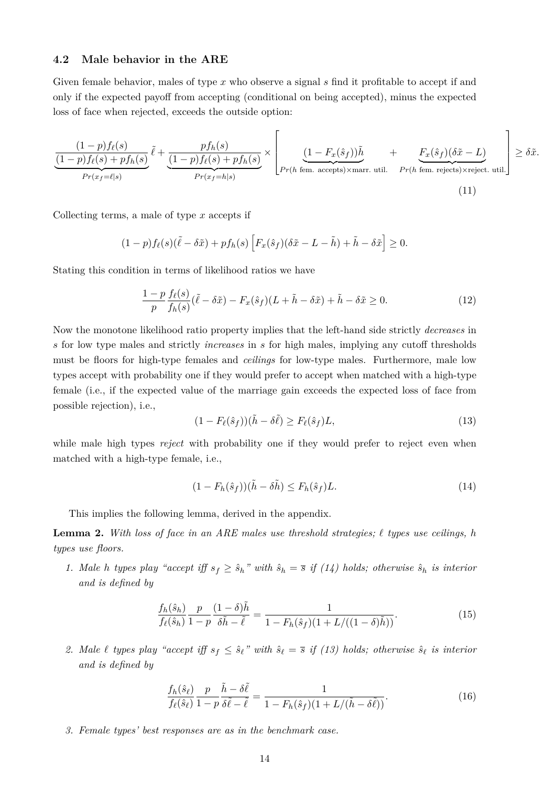#### **4.2 Male behavior in the ARE**

Given female behavior, males of type x who observe a signal s find it profitable to accept if and only if the expected payoff from accepting (conditional on being accepted), minus the expected loss of face when rejected, exceeds the outside option:

$$
\underbrace{\frac{(1-p)f_{\ell}(s)}{(1-p)f_{\ell}(s)+pf_{h}(s)}}_{Pr(x_f=\ell|s)}\tilde{\ell}+\underbrace{\frac{pf_{h}(s)}{(1-p)f_{\ell}(s)+pf_{h}(s)}}_{Pr(x_f=h|s)}\times\left[\underbrace{\frac{(1-F_x(\hat{s}_f))\tilde{h}}{Pr(h \text{ fem. accepts})\times\text{marr. util.}}+\underbrace{F_x(\hat{s}_f)(\delta\tilde{x}-L)}_{Pr(h \text{ fem. rejects})\times\text{reject. util.}}\right]\geq \delta\tilde{x}.
$$
\n(11)

Collecting terms, a male of type *x* accepts if

$$
(1-p)f_{\ell}(s)(\tilde{\ell}-\delta\tilde{x})+pf_h(s)\left[F_x(\hat{s}_f)(\delta\tilde{x}-L-\tilde{h})+\tilde{h}-\delta\tilde{x}\right]\geq 0.
$$

Stating this condition in terms of likelihood ratios we have

$$
\frac{1-p}{p}\frac{f_{\ell}(s)}{f_h(s)}(\tilde{\ell}-\delta\tilde{x}) - F_x(\hat{s}_f)(L+\tilde{h}-\delta\tilde{x}) + \tilde{h} - \delta\tilde{x} \ge 0.
$$
\n(12)

Now the monotone likelihood ratio property implies that the left-hand side strictly *decreases* in *s* for low type males and strictly *increases* in *s* for high males, implying any cutoff thresholds must be floors for high-type females and *ceilings* for low-type males. Furthermore, male low types accept with probability one if they would prefer to accept when matched with a high-type female (i.e., if the expected value of the marriage gain exceeds the expected loss of face from possible rejection), i.e.,

$$
(1 - F_{\ell}(\hat{s}_f))(\tilde{h} - \delta \tilde{\ell}) \ge F_{\ell}(\hat{s}_f)L,\tag{13}
$$

while male high types *reject* with probability one if they would prefer to reject even when matched with a high-type female, i.e.,

$$
(1 - F_h(\hat{s}_f))(\tilde{h} - \delta \tilde{h}) \le F_h(\hat{s}_f)L.
$$
\n(14)

This implies the following lemma, derived in the appendix.

**Lemma 2.** *With loss of face in an ARE males use threshold strategies; ` types use ceilings, h types use floors.*

*1. Male h types play* "accept iff  $s_f \geq \hat{s}_h$ " with  $\hat{s}_h = \bar{s}$  if (14) holds; otherwise  $\hat{s}_h$  *is interior and is defined by*

$$
\frac{f_h(\hat{s}_h)}{f_\ell(\hat{s}_h)} \frac{p}{1-p} \frac{(1-\delta)\tilde{h}}{\delta\tilde{h}-\tilde{\ell}} = \frac{1}{1-F_h(\hat{s}_f)(1+L/((1-\delta)\tilde{h}))}.
$$
(15)

2. Male  $\ell$  types play "accept iff  $s_f \leq \hat{s}_\ell$ " with  $\hat{s}_\ell = \bar{s}$  if (13) holds; otherwise  $\hat{s}_\ell$  is interior *and is defined by*

$$
\frac{f_h(\hat{s}_\ell)}{f_\ell(\hat{s}_\ell)} \frac{p}{1-p} \frac{\tilde{h} - \delta\tilde{\ell}}{\delta\tilde{\ell} - \tilde{\ell}} = \frac{1}{1 - F_h(\hat{s}_f)(1 + L/(\tilde{h} - \delta\tilde{\ell}))}.
$$
\n(16)

*3. Female types' best responses are as in the benchmark case.*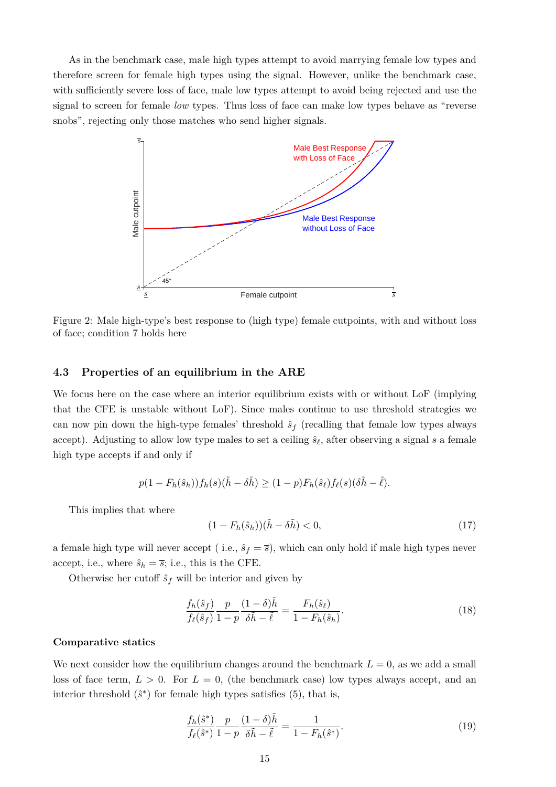As in the benchmark case, male high types attempt to avoid marrying female low types and therefore screen for female high types using the signal. However, unlike the benchmark case, with sufficiently severe loss of face, male low types attempt to avoid being rejected and use the signal to screen for female *low* types. Thus loss of face can make low types behave as "reverse snobs", rejecting only those matches who send higher signals.



Figure 2: Male high-type's best response to (high type) female cutpoints, with and without loss of face; condition 7 holds here

#### **4.3 Properties of an equilibrium in the ARE**

We focus here on the case where an interior equilibrium exists with or without LoF (implying that the CFE is unstable without LoF). Since males continue to use threshold strategies we can now pin down the high-type females' threshold  $\hat{s}_f$  (recalling that female low types always accept). Adjusting to allow low type males to set a ceiling  $\hat{s}_\ell$ , after observing a signal *s* a female high type accepts if and only if

$$
p(1 - F_h(\hat{s}_h))f_h(s)(\tilde{h} - \delta \tilde{h}) \ge (1 - p)F_h(\hat{s}_\ell)f_\ell(s)(\delta \tilde{h} - \tilde{\ell}).
$$

This implies that where

$$
(1 - F_h(\hat{s}_h))(\tilde{h} - \delta \tilde{h}) < 0,\tag{17}
$$

a female high type will never accept (i.e.,  $\hat{s}_f = \overline{s}$ ), which can only hold if male high types never accept, i.e., where  $\hat{s}_h = \overline{s}$ ; i.e., this is the CFE.

Otherwise her cutoff  $\hat{s}_f$  will be interior and given by

$$
\frac{f_h(\hat{s}_f)}{f_\ell(\hat{s}_f)} \frac{p}{1-p} \frac{(1-\delta)\tilde{h}}{\delta\tilde{h} - \tilde{\ell}} = \frac{F_h(\hat{s}_\ell)}{1 - F_h(\hat{s}_h)}.\tag{18}
$$

#### **Comparative statics**

We next consider how the equilibrium changes around the benchmark  $L = 0$ , as we add a small loss of face term,  $L > 0$ . For  $L = 0$ , (the benchmark case) low types always accept, and an interior threshold  $(\hat{s}^*)$  for female high types satisfies  $(5)$ , that is,

$$
\frac{f_h(\hat{s}^*)}{f_\ell(\hat{s}^*)} \frac{p}{1-p} \frac{(1-\delta)\tilde{h}}{\delta\tilde{h} - \tilde{\ell}} = \frac{1}{1 - F_h(\hat{s}^*)}.
$$
\n(19)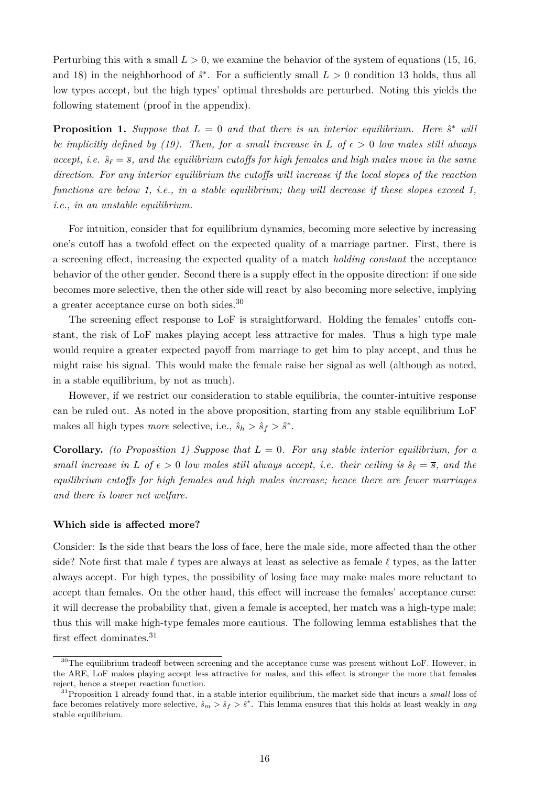Perturbing this with a small  $L > 0$ , we examine the behavior of the system of equations (15, 16, and 18) in the neighborhood of  $\hat{s}^*$ . For a sufficiently small  $L > 0$  condition 13 holds, thus all low types accept, but the high types' optimal thresholds are perturbed. Noting this yields the following statement (proof in the appendix).

**Proposition 1.** Suppose that  $L = 0$  and that there is an interior equilibrium. Here  $\hat{s}^*$  will *be implicitly defined by (19). Then, for a small increase in*  $L$  *of*  $\epsilon > 0$  *low males still always accept, i.e.*  $\hat{s}_{\ell} = \overline{s}$ *, and the equilibrium cutoffs for high females and high males move in the same direction. For any interior equilibrium the cutoffs will increase if the local slopes of the reaction functions are below 1, i.e., in a stable equilibrium; they will decrease if these slopes exceed 1, i.e., in an unstable equilibrium.*

For intuition, consider that for equilibrium dynamics, becoming more selective by increasing one's cutoff has a twofold effect on the expected quality of a marriage partner. First, there is a screening effect, increasing the expected quality of a match *holding constant* the acceptance behavior of the other gender. Second there is a supply effect in the opposite direction: if one side becomes more selective, then the other side will react by also becoming more selective, implying a greater acceptance curse on both sides.<sup>30</sup>

The screening effect response to LoF is straightforward. Holding the females' cutoffs constant, the risk of LoF makes playing accept less attractive for males. Thus a high type male would require a greater expected payoff from marriage to get him to play accept, and thus he might raise his signal. This would make the female raise her signal as well (although as noted, in a stable equilibrium, by not as much).

However, if we restrict our consideration to stable equilibria, the counter-intuitive response can be ruled out. As noted in the above proposition, starting from any stable equilibrium LoF makes all high types *more* selective, i.e.,  $\hat{s}_h > \hat{s}_f > \hat{s}^*$ .

**Corollary.** *(to Proposition 1) Suppose that*  $L = 0$ *. For any stable interior equilibrium, for a small increase in L of*  $\epsilon > 0$  *low males still always accept, i.e. their ceiling is*  $\hat{s}_\ell = \overline{s}$ *, and the equilibrium cutoffs for high females and high males increase; hence there are fewer marriages and there is lower net welfare.*

#### **Which side is affected more?**

Consider: Is the side that bears the loss of face, here the male side, more affected than the other side? Note first that male  $\ell$  types are always at least as selective as female  $\ell$  types, as the latter always accept. For high types, the possibility of losing face may make males more reluctant to accept than females. On the other hand, this effect will increase the females' acceptance curse: it will decrease the probability that, given a female is accepted, her match was a high-type male; thus this will make high-type females more cautious. The following lemma establishes that the first effect dominates.<sup>31</sup>

<sup>&</sup>lt;sup>30</sup>The equilibrium tradeoff between screening and the acceptance curse was present without LoF. However, in the ARE, LoF makes playing accept less attractive for males, and this effect is stronger the more that females reject, hence a steeper reaction function.

<sup>31</sup>Proposition 1 already found that, in a stable interior equilibrium, the market side that incurs a *small* loss of face becomes relatively more selective,  $\hat{s}_m > \hat{s}_f > \hat{s}^*$ . This lemma ensures that this holds at least weakly in *any* stable equilibrium.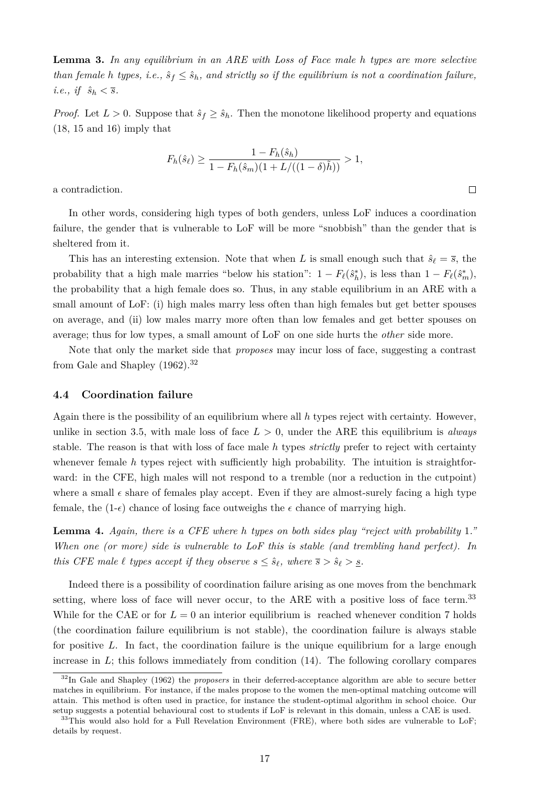**Lemma 3.** *In any equilibrium in an ARE with Loss of Face male h types are more selective than female h types, i.e.,*  $\hat{s}_f \leq \hat{s}_h$ *, and strictly so if the equilibrium is not a coordination failure,*  $i.e., if \hat{s}_h < \overline{s}.$ 

*Proof.* Let  $L > 0$ . Suppose that  $\hat{s}_f \geq \hat{s}_h$ . Then the monotone likelihood property and equations (18, 15 and 16) imply that

$$
F_h(\hat{s}_\ell) \ge \frac{1 - F_h(\hat{s}_h)}{1 - F_h(\hat{s}_m)(1 + L/((1 - \delta)\tilde{h}))} > 1,
$$

 $\Box$ 

a contradiction.

In other words, considering high types of both genders, unless LoF induces a coordination failure, the gender that is vulnerable to LoF will be more "snobbish" than the gender that is sheltered from it.

This has an interesting extension. Note that when *L* is small enough such that  $\hat{s}_\ell = \overline{s}$ , the probability that a high male marries "below his station":  $1 - F_{\ell}(\hat{s}_h^*)$ , is less than  $1 - F_{\ell}(\hat{s}_m^*)$ , the probability that a high female does so. Thus, in any stable equilibrium in an ARE with a small amount of LoF: (i) high males marry less often than high females but get better spouses on average, and (ii) low males marry more often than low females and get better spouses on average; thus for low types, a small amount of LoF on one side hurts the *other* side more.

Note that only the market side that *proposes* may incur loss of face, suggesting a contrast from Gale and Shapley (1962).<sup>32</sup>

#### **4.4 Coordination failure**

Again there is the possibility of an equilibrium where all *h* types reject with certainty. However, unlike in section 3.5, with male loss of face  $L > 0$ , under the ARE this equilibrium is *always* stable. The reason is that with loss of face male *h* types *strictly* prefer to reject with certainty whenever female *h* types reject with sufficiently high probability. The intuition is straightforward: in the CFE, high males will not respond to a tremble (nor a reduction in the cutpoint) where a small  $\epsilon$  share of females play accept. Even if they are almost-surely facing a high type female, the  $(1-\epsilon)$  chance of losing face outweighs the  $\epsilon$  chance of marrying high.

**Lemma 4.** *Again, there is a CFE where h types on both sides play "reject with probability* 1*." When one (or more) side is vulnerable to LoF this is stable (and trembling hand perfect). In this CFE male*  $\ell$  *types accept if they observe*  $s \leq \hat{s}_{\ell}$ *, where*  $\overline{s} > \hat{s}_{\ell} > \underline{s}$ *.* 

Indeed there is a possibility of coordination failure arising as one moves from the benchmark setting, where loss of face will never occur, to the ARE with a positive loss of face term.<sup>33</sup> While for the CAE or for  $L = 0$  an interior equilibrium is reached whenever condition 7 holds (the coordination failure equilibrium is not stable), the coordination failure is always stable for positive *L*. In fact, the coordination failure is the unique equilibrium for a large enough increase in *L*; this follows immediately from condition (14). The following corollary compares

<sup>32</sup>In Gale and Shapley (1962) the *proposers* in their deferred-acceptance algorithm are able to secure better matches in equilibrium. For instance, if the males propose to the women the men-optimal matching outcome will attain. This method is often used in practice, for instance the student-optimal algorithm in school choice. Our setup suggests a potential behavioural cost to students if LoF is relevant in this domain, unless a CAE is used.

 $33$ This would also hold for a Full Revelation Environment (FRE), where both sides are vulnerable to LoF; details by request.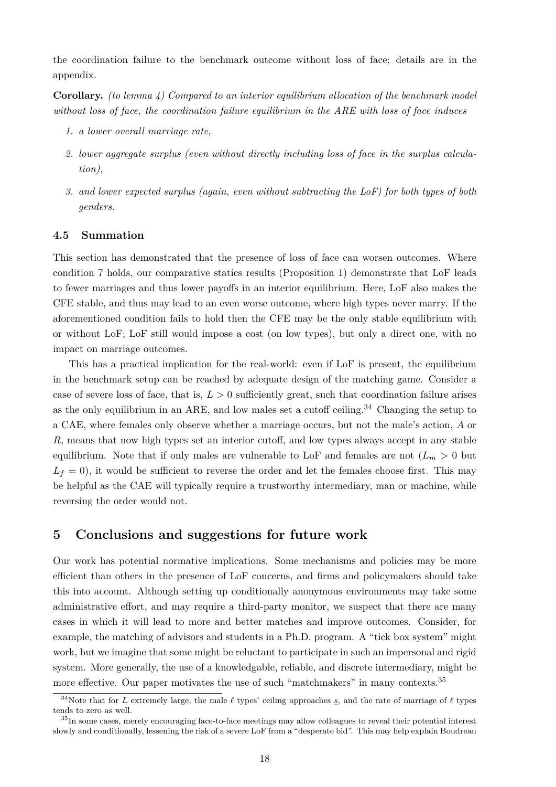the coordination failure to the benchmark outcome without loss of face; details are in the appendix.

**Corollary.** *(to lemma 4) Compared to an interior equilibrium allocation of the benchmark model without loss of face, the coordination failure equilibrium in the ARE with loss of face induces*

- *1. a lower overall marriage rate,*
- *2. lower aggregate surplus (even without directly including loss of face in the surplus calculation),*
- *3. and lower expected surplus (again, even without subtracting the LoF) for both types of both genders.*

#### **4.5 Summation**

This section has demonstrated that the presence of loss of face can worsen outcomes. Where condition 7 holds, our comparative statics results (Proposition 1) demonstrate that LoF leads to fewer marriages and thus lower payoffs in an interior equilibrium. Here, LoF also makes the CFE stable, and thus may lead to an even worse outcome, where high types never marry. If the aforementioned condition fails to hold then the CFE may be the only stable equilibrium with or without LoF; LoF still would impose a cost (on low types), but only a direct one, with no impact on marriage outcomes.

This has a practical implication for the real-world: even if LoF is present, the equilibrium in the benchmark setup can be reached by adequate design of the matching game. Consider a case of severe loss of face, that is,  $L > 0$  sufficiently great, such that coordination failure arises as the only equilibrium in an ARE, and low males set a cutoff ceiling.<sup>34</sup> Changing the setup to a CAE, where females only observe whether a marriage occurs, but not the male's action, *A* or *R*, means that now high types set an interior cutoff, and low types always accept in any stable equilibrium. Note that if only males are vulnerable to LoF and females are not  $(L_m > 0$  but  $L_f = 0$ , it would be sufficient to reverse the order and let the females choose first. This may be helpful as the CAE will typically require a trustworthy intermediary, man or machine, while reversing the order would not.

#### **5 Conclusions and suggestions for future work**

Our work has potential normative implications. Some mechanisms and policies may be more efficient than others in the presence of LoF concerns, and firms and policymakers should take this into account. Although setting up conditionally anonymous environments may take some administrative effort, and may require a third-party monitor, we suspect that there are many cases in which it will lead to more and better matches and improve outcomes. Consider, for example, the matching of advisors and students in a Ph.D. program. A "tick box system" might work, but we imagine that some might be reluctant to participate in such an impersonal and rigid system. More generally, the use of a knowledgable, reliable, and discrete intermediary, might be more effective. Our paper motivates the use of such "matchmakers" in many contexts.<sup>35</sup>

<sup>&</sup>lt;sup>34</sup>Note that for *L* extremely large, the male  $\ell$  types' ceiling approaches <u>s</u>, and the rate of marriage of  $\ell$  types tends to zero as well.

<sup>&</sup>lt;sup>35</sup>In some cases, merely encouraging face-to-face meetings may allow colleagues to reveal their potential interest slowly and conditionally, lessening the risk of a severe LoF from a "desperate bid". This may help explain Boudreau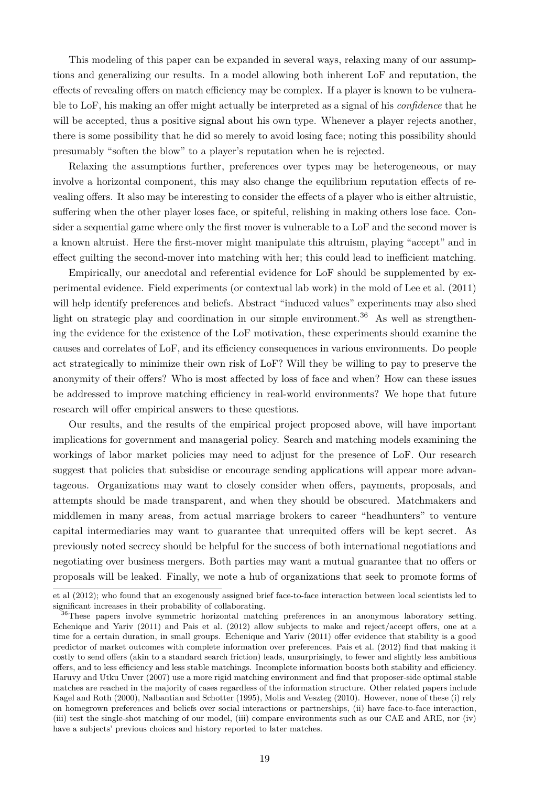This modeling of this paper can be expanded in several ways, relaxing many of our assumptions and generalizing our results. In a model allowing both inherent LoF and reputation, the effects of revealing offers on match efficiency may be complex. If a player is known to be vulnerable to LoF, his making an offer might actually be interpreted as a signal of his *confidence* that he will be accepted, thus a positive signal about his own type. Whenever a player rejects another, there is some possibility that he did so merely to avoid losing face; noting this possibility should presumably "soften the blow" to a player's reputation when he is rejected.

Relaxing the assumptions further, preferences over types may be heterogeneous, or may involve a horizontal component, this may also change the equilibrium reputation effects of revealing offers. It also may be interesting to consider the effects of a player who is either altruistic, suffering when the other player loses face, or spiteful, relishing in making others lose face. Consider a sequential game where only the first mover is vulnerable to a LoF and the second mover is a known altruist. Here the first-mover might manipulate this altruism, playing "accept" and in effect guilting the second-mover into matching with her; this could lead to inefficient matching.

Empirically, our anecdotal and referential evidence for LoF should be supplemented by experimental evidence. Field experiments (or contextual lab work) in the mold of Lee et al. (2011) will help identify preferences and beliefs. Abstract "induced values" experiments may also shed light on strategic play and coordination in our simple environment.<sup>36</sup> As well as strengthening the evidence for the existence of the LoF motivation, these experiments should examine the causes and correlates of LoF, and its efficiency consequences in various environments. Do people act strategically to minimize their own risk of LoF? Will they be willing to pay to preserve the anonymity of their offers? Who is most affected by loss of face and when? How can these issues be addressed to improve matching efficiency in real-world environments? We hope that future research will offer empirical answers to these questions.

Our results, and the results of the empirical project proposed above, will have important implications for government and managerial policy. Search and matching models examining the workings of labor market policies may need to adjust for the presence of LoF. Our research suggest that policies that subsidise or encourage sending applications will appear more advantageous. Organizations may want to closely consider when offers, payments, proposals, and attempts should be made transparent, and when they should be obscured. Matchmakers and middlemen in many areas, from actual marriage brokers to career "headhunters" to venture capital intermediaries may want to guarantee that unrequited offers will be kept secret. As previously noted secrecy should be helpful for the success of both international negotiations and negotiating over business mergers. Both parties may want a mutual guarantee that no offers or proposals will be leaked. Finally, we note a hub of organizations that seek to promote forms of

et al (2012); who found that an exogenously assigned brief face-to-face interaction between local scientists led to significant increases in their probability of collaborating.

<sup>&</sup>lt;sup>36</sup>These papers involve symmetric horizontal matching preferences in an anonymous laboratory setting. Echenique and Yariv (2011) and Pais et al. (2012) allow subjects to make and reject/accept offers, one at a time for a certain duration, in small groups. Echenique and Yariv (2011) offer evidence that stability is a good predictor of market outcomes with complete information over preferences. Pais et al. (2012) find that making it costly to send offers (akin to a standard search friction) leads, unsurprisingly, to fewer and slightly less ambitious offers, and to less efficiency and less stable matchings. Incomplete information boosts both stability and efficiency. Haruvy and Utku Unver (2007) use a more rigid matching environment and find that proposer-side optimal stable matches are reached in the majority of cases regardless of the information structure. Other related papers include Kagel and Roth (2000), Nalbantian and Schotter (1995), Molis and Veszteg (2010). However, none of these (i) rely on homegrown preferences and beliefs over social interactions or partnerships, (ii) have face-to-face interaction, (iii) test the single-shot matching of our model, (iii) compare environments such as our CAE and ARE, nor (iv) have a subjects' previous choices and history reported to later matches.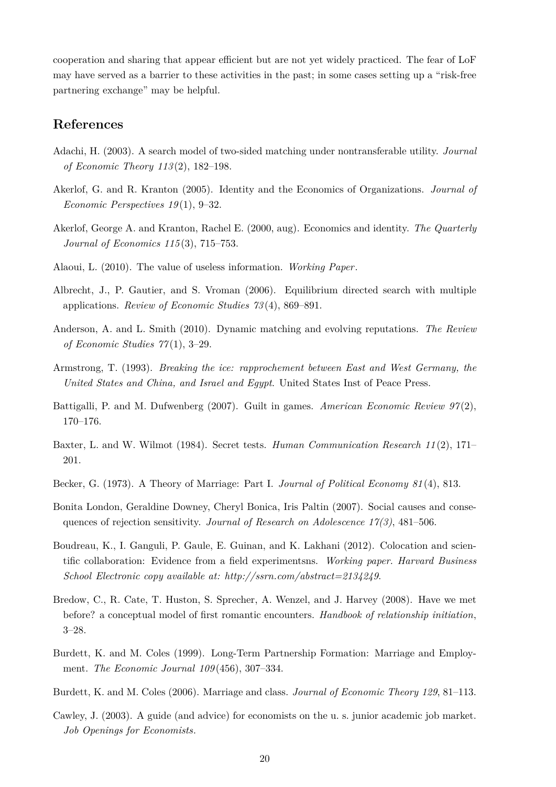cooperation and sharing that appear efficient but are not yet widely practiced. The fear of LoF may have served as a barrier to these activities in the past; in some cases setting up a "risk-free partnering exchange" may be helpful.

#### **References**

- Adachi, H. (2003). A search model of two-sided matching under nontransferable utility. *Journal of Economic Theory 113* (2), 182–198.
- Akerlof, G. and R. Kranton (2005). Identity and the Economics of Organizations. *Journal of Economic Perspectives 19* (1), 9–32.
- Akerlof, George A. and Kranton, Rachel E. (2000, aug). Economics and identity. *The Quarterly Journal of Economics 115* (3), 715–753.
- Alaoui, L. (2010). The value of useless information. *Working Paper*.
- Albrecht, J., P. Gautier, and S. Vroman (2006). Equilibrium directed search with multiple applications. *Review of Economic Studies 73* (4), 869–891.
- Anderson, A. and L. Smith (2010). Dynamic matching and evolving reputations. *The Review of Economic Studies 77* (1), 3–29.
- Armstrong, T. (1993). *Breaking the ice: rapprochement between East and West Germany, the United States and China, and Israel and Egypt*. United States Inst of Peace Press.
- Battigalli, P. and M. Dufwenberg (2007). Guilt in games. *American Economic Review 97* (2), 170–176.
- Baxter, L. and W. Wilmot (1984). Secret tests. *Human Communication Research 11* (2), 171– 201.
- Becker, G. (1973). A Theory of Marriage: Part I. *Journal of Political Economy 81* (4), 813.
- Bonita London, Geraldine Downey, Cheryl Bonica, Iris Paltin (2007). Social causes and consequences of rejection sensitivity. *Journal of Research on Adolescence 17(3)*, 481–506.
- Boudreau, K., I. Ganguli, P. Gaule, E. Guinan, and K. Lakhani (2012). Colocation and scientific collaboration: Evidence from a field experimentsns. *Working paper. Harvard Business School Electronic copy available at: http://ssrn.com/abstract=2134249*.
- Bredow, C., R. Cate, T. Huston, S. Sprecher, A. Wenzel, and J. Harvey (2008). Have we met before? a conceptual model of first romantic encounters. *Handbook of relationship initiation*, 3–28.
- Burdett, K. and M. Coles (1999). Long-Term Partnership Formation: Marriage and Employment. *The Economic Journal 109* (456), 307–334.
- Burdett, K. and M. Coles (2006). Marriage and class. *Journal of Economic Theory 129*, 81–113.
- Cawley, J. (2003). A guide (and advice) for economists on the u. s. junior academic job market. *Job Openings for Economists*.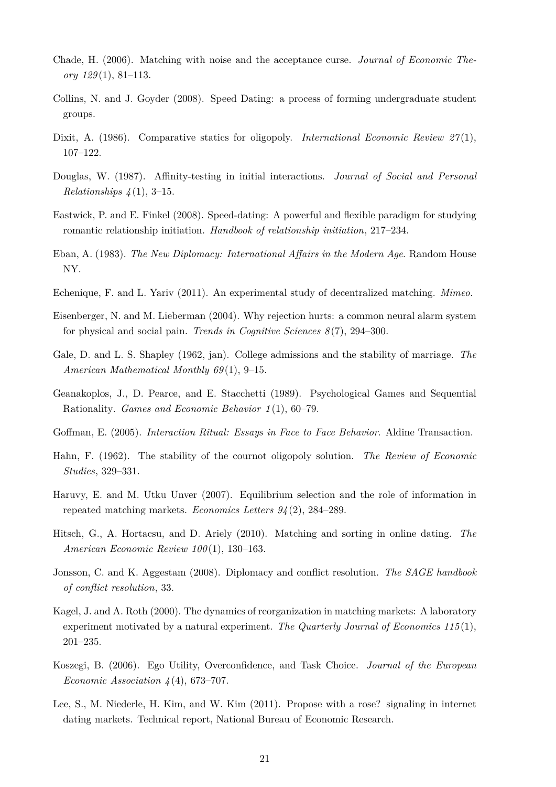- Chade, H. (2006). Matching with noise and the acceptance curse. *Journal of Economic Theory 129* (1), 81–113.
- Collins, N. and J. Goyder (2008). Speed Dating: a process of forming undergraduate student groups.
- Dixit, A. (1986). Comparative statics for oligopoly. *International Economic Review 27*(1), 107–122.
- Douglas, W. (1987). Affinity-testing in initial interactions. *Journal of Social and Personal Relationships 4* (1), 3–15.
- Eastwick, P. and E. Finkel (2008). Speed-dating: A powerful and flexible paradigm for studying romantic relationship initiation. *Handbook of relationship initiation*, 217–234.
- Eban, A. (1983). *The New Diplomacy: International Affairs in the Modern Age*. Random House NY.
- Echenique, F. and L. Yariv (2011). An experimental study of decentralized matching. *Mimeo*.
- Eisenberger, N. and M. Lieberman (2004). Why rejection hurts: a common neural alarm system for physical and social pain. *Trends in Cognitive Sciences 8* (7), 294–300.
- Gale, D. and L. S. Shapley (1962, jan). College admissions and the stability of marriage. *The American Mathematical Monthly 69* (1), 9–15.
- Geanakoplos, J., D. Pearce, and E. Stacchetti (1989). Psychological Games and Sequential Rationality. *Games and Economic Behavior 1* (1), 60–79.
- Goffman, E. (2005). *Interaction Ritual: Essays in Face to Face Behavior*. Aldine Transaction.
- Hahn, F. (1962). The stability of the cournot oligopoly solution. *The Review of Economic Studies*, 329–331.
- Haruvy, E. and M. Utku Unver (2007). Equilibrium selection and the role of information in repeated matching markets. *Economics Letters 94* (2), 284–289.
- Hitsch, G., A. Hortacsu, and D. Ariely (2010). Matching and sorting in online dating. *The American Economic Review 100* (1), 130–163.
- Jonsson, C. and K. Aggestam (2008). Diplomacy and conflict resolution. *The SAGE handbook of conflict resolution*, 33.
- Kagel, J. and A. Roth (2000). The dynamics of reorganization in matching markets: A laboratory experiment motivated by a natural experiment. *The Quarterly Journal of Economics 115* (1), 201–235.
- Koszegi, B. (2006). Ego Utility, Overconfidence, and Task Choice. *Journal of the European Economic Association 4* (4), 673–707.
- Lee, S., M. Niederle, H. Kim, and W. Kim (2011). Propose with a rose? signaling in internet dating markets. Technical report, National Bureau of Economic Research.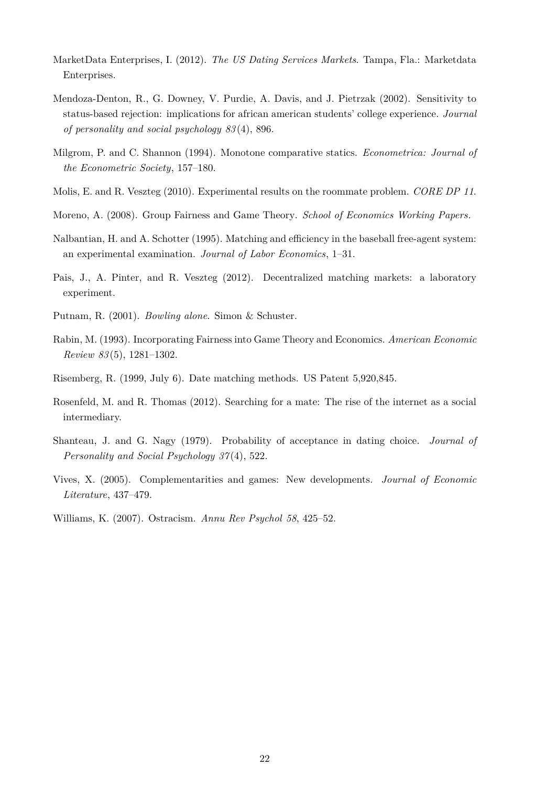- MarketData Enterprises, I. (2012). *The US Dating Services Markets*. Tampa, Fla.: Marketdata Enterprises.
- Mendoza-Denton, R., G. Downey, V. Purdie, A. Davis, and J. Pietrzak (2002). Sensitivity to status-based rejection: implications for african american students' college experience. *Journal of personality and social psychology 83* (4), 896.
- Milgrom, P. and C. Shannon (1994). Monotone comparative statics. *Econometrica: Journal of the Econometric Society*, 157–180.
- Molis, E. and R. Veszteg (2010). Experimental results on the roommate problem. *CORE DP 11*.
- Moreno, A. (2008). Group Fairness and Game Theory. *School of Economics Working Papers*.
- Nalbantian, H. and A. Schotter (1995). Matching and efficiency in the baseball free-agent system: an experimental examination. *Journal of Labor Economics*, 1–31.
- Pais, J., A. Pinter, and R. Veszteg (2012). Decentralized matching markets: a laboratory experiment.
- Putnam, R. (2001). *Bowling alone*. Simon & Schuster.
- Rabin, M. (1993). Incorporating Fairness into Game Theory and Economics. *American Economic Review 83* (5), 1281–1302.
- Risemberg, R. (1999, July 6). Date matching methods. US Patent 5,920,845.
- Rosenfeld, M. and R. Thomas (2012). Searching for a mate: The rise of the internet as a social intermediary.
- Shanteau, J. and G. Nagy (1979). Probability of acceptance in dating choice. *Journal of Personality and Social Psychology 37* (4), 522.
- Vives, X. (2005). Complementarities and games: New developments. *Journal of Economic Literature*, 437–479.
- Williams, K. (2007). Ostracism. *Annu Rev Psychol 58*, 425–52.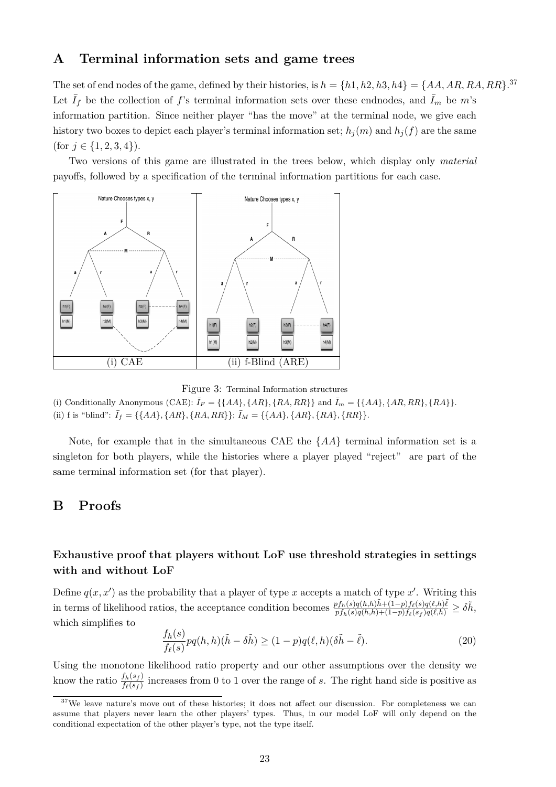#### **A Terminal information sets and game trees**

The set of end nodes of the game, defined by their histories, is  $h = \{h1, h2, h3, h4\} = \{AA, AR, RA, RR\}$ .<sup>37</sup> Let  $\bar{I}_f$  be the collection of f's terminal information sets over these endnodes, and  $\bar{I}_m$  be m's information partition. Since neither player "has the move" at the terminal node, we give each history two boxes to depict each player's terminal information set;  $h_j(m)$  and  $h_j(f)$  are the same (for  $j \in \{1, 2, 3, 4\}$ ).

Two versions of this game are illustrated in the trees below, which display only *material* payoffs, followed by a specification of the terminal information partitions for each case.



Figure 3: Terminal Information structures

(i) Conditionally Anonymous (CAE):  $\bar{I}_F = \{\{AA\}, \{AR\}, \{RA,RR\}\}$  and  $\bar{I}_m = \{\{AA\}, \{AR,RR\}, \{RA\}\}.$ (ii) f is "blind":  $\bar{I}_f = \{\{AA\}, \{AR\}, \{RA,RR\}\}; \bar{I}_M = \{\{AA\}, \{AR\}, \{RA\}, \{RR\}\}.$ 

Note, for example that in the simultaneous CAE the {*AA*} terminal information set is a singleton for both players, while the histories where a player played "reject" are part of the same terminal information set (for that player).

#### **B Proofs**

#### **Exhaustive proof that players without LoF use threshold strategies in settings with and without LoF**

Define  $q(x, x')$  as the probability that a player of type x accepts a match of type x'. Writing this in terms of likelihood ratios, the acceptance condition becomes  $\frac{p_{fh}(s)q(h,h)\tilde{h}+(1-p)f_{\ell}(s)q(\ell,h)\tilde{\ell}}{p_{fh}(s)q(h,h)+(1-p)f_{\ell}(s_f)q(\ell,h)} \geq \delta\tilde{h},$ which simplifies to

$$
\frac{f_h(s)}{f_{\ell}(s)}pq(h,h)(\tilde{h}-\delta\tilde{h}) \ge (1-p)q(\ell,h)(\delta\tilde{h}-\tilde{\ell}).\tag{20}
$$

Using the monotone likelihood ratio property and our other assumptions over the density we know the ratio  $\frac{f_h(s_f)}{f_e(s_f)}$  increases from 0 to 1 over the range of *s*. The right hand side is positive as

<sup>&</sup>lt;sup>37</sup>We leave nature's move out of these histories; it does not affect our discussion. For completeness we can assume that players never learn the other players' types. Thus, in our model LoF will only depend on the conditional expectation of the other player's type, not the type itself.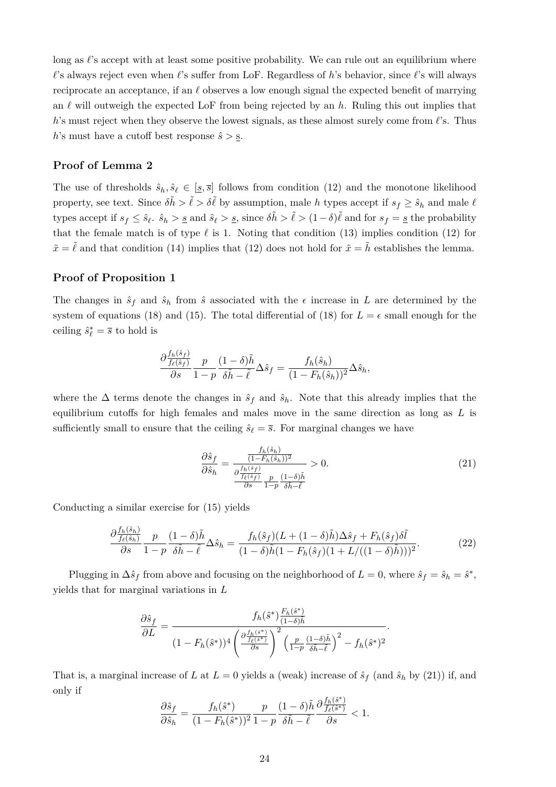long as  $\ell$ 's accept with at least some positive probability. We can rule out an equilibrium where  $\ell$ 's always reject even when  $\ell$ 's suffer from LoF. Regardless of *h*'s behavior, since  $\ell$ 's will always reciprocate an acceptance, if an  $\ell$  observes a low enough signal the expected benefit of marrying an  $\ell$  will outweigh the expected LoF from being rejected by an  $h$ . Ruling this out implies that *h*'s must reject when they observe the lowest signals, as these almost surely come from  $\ell$ 's. Thus *h*'s must have a cutoff best response  $\hat{s} > \underline{s}$ .

#### **Proof of Lemma 2**

The use of thresholds  $\hat{s}_h, \hat{s}_\ell \in [s, \bar{s}]$  follows from condition (12) and the monotone likelihood property, see text. Since  $\delta \tilde{h} > \tilde{\ell} > \delta \tilde{\ell}$  by assumption, male *h* types accept if  $s_f \geq \hat{s}_h$  and male  $\ell$ types accept if  $s_f \leq \hat{s}_\ell$ ,  $\hat{s}_h > \underline{s}$  and  $\hat{s}_\ell > \underline{s}$ , since  $\delta \tilde{h} > \tilde{\ell} > (1 - \delta)\tilde{\ell}$  and for  $s_f = \underline{s}$  the probability that the female match is of type  $\ell$  is 1. Noting that condition (13) implies condition (12) for  $\tilde{x} = \tilde{\ell}$  and that condition (14) implies that (12) does not hold for  $\tilde{x} = \tilde{h}$  establishes the lemma.

#### **Proof of Proposition 1**

The changes in  $\hat{s}_f$  and  $\hat{s}_h$  from  $\hat{s}$  associated with the  $\epsilon$  increase in *L* are determined by the system of equations (18) and (15). The total differential of (18) for  $L = \epsilon$  small enough for the ceiling  $\hat{s}^*_{\ell} = \overline{s}$  to hold is

$$
\frac{\partial \frac{f_h(\hat{s}_f)}{f_\ell(\hat{s}_f)}}{\partial s} \frac{p}{1-p} \frac{(1-\delta)\tilde{h}}{\delta \tilde{h} - \tilde{\ell}} \Delta \hat{s}_f = \frac{f_h(\hat{s}_h)}{(1-F_h(\hat{s}_h))^2} \Delta \hat{s}_h,
$$

where the  $\Delta$  terms denote the changes in  $\hat{s}_f$  and  $\hat{s}_h$ . Note that this already implies that the equilibrium cutoffs for high females and males move in the same direction as long as *L* is sufficiently small to ensure that the ceiling  $\hat{s}_\ell = \bar{s}$ . For marginal changes we have

$$
\frac{\partial \hat{s}_f}{\partial \hat{s}_h} = \frac{\frac{f_h(\hat{s}_h)}{(1 - F_h(\hat{s}_h))^2}}{\frac{\partial f_h(\hat{s}_f)}{\partial s} \frac{p}{1 - p} \frac{(1 - \delta)\tilde{h}}{\delta \tilde{h} - \tilde{\ell}}}\n> 0.
$$
\n(21)

Conducting a similar exercise for (15) yields

$$
\frac{\partial \frac{f_h(\hat{s}_h)}{f_\ell(\hat{s}_h)}}{\partial s} \frac{p}{1-p} \frac{(1-\delta)\tilde{h}}{\delta\tilde{h} - \tilde{\ell}} \Delta\hat{s}_h = \frac{f_h(\hat{s}_f)(L + (1-\delta)\tilde{h})\Delta\hat{s}_f + F_h(\hat{s}_f)\delta\tilde{l}}{(1-\delta)\tilde{h}(1 - F_h(\hat{s}_f)(1 + L/((1-\delta)\tilde{h})))^2}.
$$
\n(22)

Plugging in  $\Delta \hat{s}_f$  from above and focusing on the neighborhood of  $L = 0$ , where  $\hat{s}_f = \hat{s}_h = \hat{s}^*$ , yields that for marginal variations in *L*

$$
\frac{\partial \hat{s}_f}{\partial L} = \frac{f_h(\hat{s}^*) \frac{F_h(\hat{s}^*)}{(1-\delta)\tilde{h}}}{(1 - F_h(\hat{s}^*))^4 \left(\frac{\partial \frac{f_h(\hat{s}^*)}{f_\ell(\hat{s}^*)}}{\partial s}\right)^2 \left(\frac{p}{1-p} \frac{(1-\delta)\tilde{h}}{\delta\tilde{h}-\tilde{\ell}}\right)^2 - f_h(\hat{s}^*)^2}.
$$

That is, a marginal increase of *L* at  $L = 0$  yields a (weak) increase of  $\hat{s}_f$  (and  $\hat{s}_h$  by (21)) if, and only if

$$
\frac{\partial \hat{s}_f}{\partial \hat{s}_h} = \frac{f_h(\hat{s}^*)}{(1 - F_h(\hat{s}^*))^2} \frac{p}{1 - p} \frac{(1 - \delta)\tilde{h}}{\delta \tilde{h} - \tilde{\ell}} \frac{\partial \frac{f_h(\hat{s}^*)}{f_{\ell}(\hat{s}^*)}}{\partial s} < 1.
$$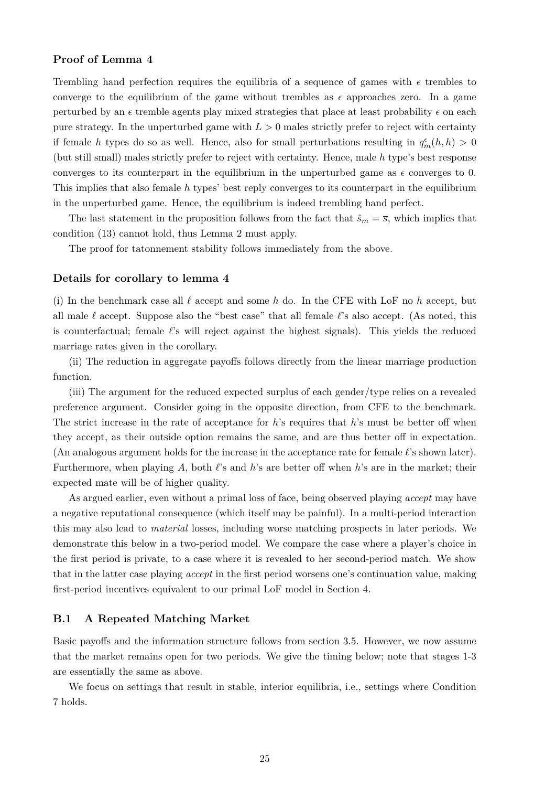#### **Proof of Lemma 4**

Trembling hand perfection requires the equilibria of a sequence of games with  $\epsilon$  trembles to converge to the equilibrium of the game without trembles as  $\epsilon$  approaches zero. In a game perturbed by an  $\epsilon$  tremble agents play mixed strategies that place at least probability  $\epsilon$  on each pure strategy. In the unperturbed game with  $L > 0$  males strictly prefer to reject with certainty if female *h* types do so as well. Hence, also for small perturbations resulting in  $q_m^{\epsilon}(h, h) > 0$ (but still small) males strictly prefer to reject with certainty. Hence, male *h* type's best response converges to its counterpart in the equilibrium in the unperturbed game as  $\epsilon$  converges to 0. This implies that also female *h* types' best reply converges to its counterpart in the equilibrium in the unperturbed game. Hence, the equilibrium is indeed trembling hand perfect.

The last statement in the proposition follows from the fact that  $\hat{s}_m = \overline{s}$ , which implies that condition (13) cannot hold, thus Lemma 2 must apply.

The proof for tatonnement stability follows immediately from the above.

#### **Details for corollary to lemma 4**

(i) In the benchmark case all  $\ell$  accept and some  $h$  do. In the CFE with LoF no  $h$  accept, but all male  $\ell$  accept. Suppose also the "best case" that all female  $\ell$ 's also accept. (As noted, this is counterfactual; female  $\ell$ 's will reject against the highest signals). This yields the reduced marriage rates given in the corollary.

(ii) The reduction in aggregate payoffs follows directly from the linear marriage production function.

(iii) The argument for the reduced expected surplus of each gender/type relies on a revealed preference argument. Consider going in the opposite direction, from CFE to the benchmark. The strict increase in the rate of acceptance for *h*'s requires that *h*'s must be better off when they accept, as their outside option remains the same, and are thus better off in expectation. (An analogous argument holds for the increase in the acceptance rate for female *`*'s shown later). Furthermore, when playing  $A$ , both  $\ell$ 's and  $h$ 's are better off when  $h$ 's are in the market; their expected mate will be of higher quality.

As argued earlier, even without a primal loss of face, being observed playing *accept* may have a negative reputational consequence (which itself may be painful). In a multi-period interaction this may also lead to *material* losses, including worse matching prospects in later periods. We demonstrate this below in a two-period model. We compare the case where a player's choice in the first period is private, to a case where it is revealed to her second-period match. We show that in the latter case playing *accept* in the first period worsens one's continuation value, making first-period incentives equivalent to our primal LoF model in Section 4.

#### **B.1 A Repeated Matching Market**

Basic payoffs and the information structure follows from section 3.5. However, we now assume that the market remains open for two periods. We give the timing below; note that stages 1-3 are essentially the same as above.

We focus on settings that result in stable, interior equilibria, i.e., settings where Condition 7 holds.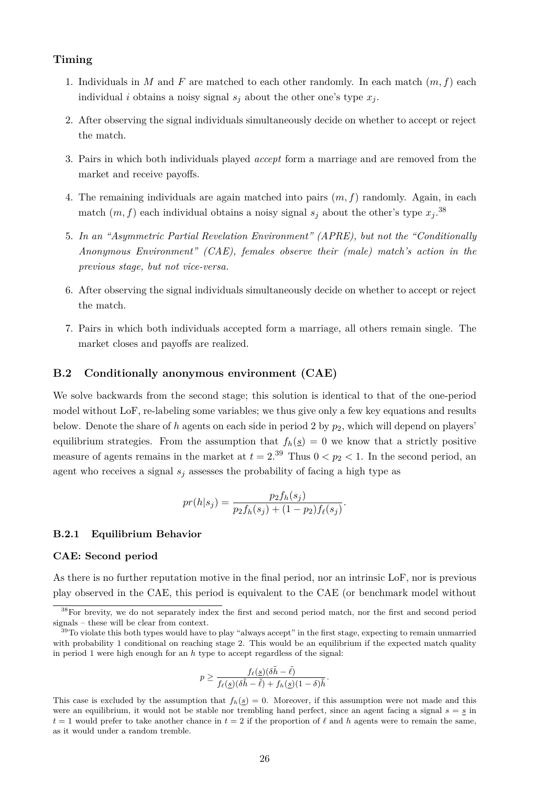#### **Timing**

- 1. Individuals in *M* and *F* are matched to each other randomly. In each match (*m, f*) each individual *i* obtains a noisy signal  $s_j$  about the other one's type  $x_j$ .
- 2. After observing the signal individuals simultaneously decide on whether to accept or reject the match.
- 3. Pairs in which both individuals played *accept* form a marriage and are removed from the market and receive payoffs.
- 4. The remaining individuals are again matched into pairs (*m, f*) randomly. Again, in each match  $(m, f)$  each individual obtains a noisy signal  $s_j$  about the other's type  $x_j$ .<sup>38</sup>
- 5. *In an "Asymmetric Partial Revelation Environment" (APRE), but not the "Conditionally Anonymous Environment" (CAE), females observe their (male) match's action in the previous stage, but not vice-versa.*
- 6. After observing the signal individuals simultaneously decide on whether to accept or reject the match.
- 7. Pairs in which both individuals accepted form a marriage, all others remain single. The market closes and payoffs are realized.

#### **B.2 Conditionally anonymous environment (CAE)**

We solve backwards from the second stage; this solution is identical to that of the one-period model without LoF, re-labeling some variables; we thus give only a few key equations and results below. Denote the share of *h* agents on each side in period 2 by *p*2, which will depend on players' equilibrium strategies. From the assumption that  $f_h(s) = 0$  we know that a strictly positive measure of agents remains in the market at  $t = 2^{39}$  Thus  $0 < p_2 < 1$ . In the second period, an agent who receives a signal  $s_j$  assesses the probability of facing a high type as

$$
pr(h|s_j) = \frac{p_2 f_h(s_j)}{p_2 f_h(s_j) + (1 - p_2) f_\ell(s_j)}.
$$

#### **B.2.1 Equilibrium Behavior**

#### **CAE: Second period**

As there is no further reputation motive in the final period, nor an intrinsic LoF, nor is previous play observed in the CAE, this period is equivalent to the CAE (or benchmark model without

$$
p \geq \frac{f_{\ell}(\underline{s})(\delta \tilde{h} - \tilde{\ell})}{f_{\ell}(\underline{s})(\delta \tilde{h} - \tilde{\ell}) + f_{h}(\underline{s})(1 - \delta)\tilde{h}}.
$$

<sup>&</sup>lt;sup>38</sup>For brevity, we do not separately index the first and second period match, nor the first and second period signals – these will be clear from context.

<sup>&</sup>lt;sup>39</sup>To violate this both types would have to play "always accept" in the first stage, expecting to remain unmarried with probability 1 conditional on reaching stage 2. This would be an equilibrium if the expected match quality in period 1 were high enough for an *h* type to accept regardless of the signal:

This case is excluded by the assumption that  $f_h(s) = 0$ . Moreover, if this assumption were not made and this were an equilibrium, it would not be stable nor trembling hand perfect, since an agent facing a signal  $s = s$  in  $t = 1$  would prefer to take another chance in  $t = 2$  if the proportion of  $\ell$  and  $h$  agents were to remain the same, as it would under a random tremble.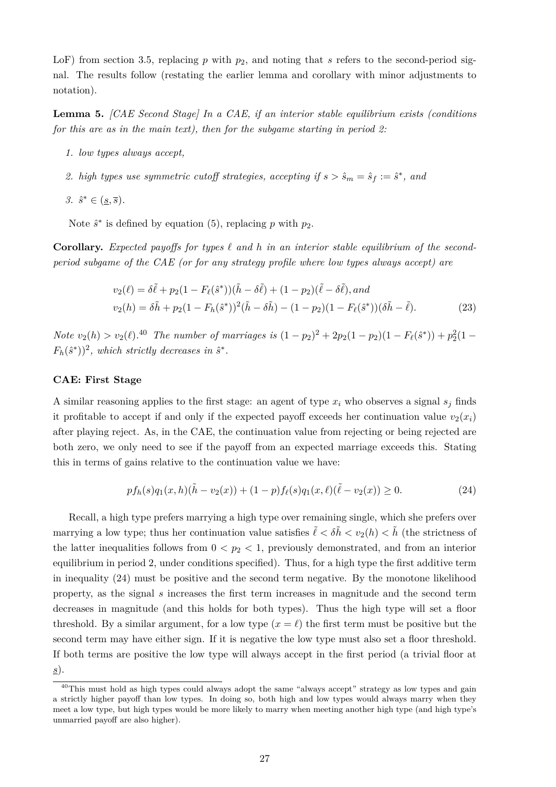LoF) from section 3.5, replacing *p* with  $p_2$ , and noting that *s* refers to the second-period signal. The results follow (restating the earlier lemma and corollary with minor adjustments to notation).

**Lemma 5.** *[CAE Second Stage] In a CAE, if an interior stable equilibrium exists (conditions for this are as in the main text), then for the subgame starting in period 2:*

- *1. low types always accept,*
- 2. *high types use symmetric cutoff strategies, accepting if*  $s > \hat{s}_m = \hat{s}_f := \hat{s}^*$ , and
- $3. \hat{s}^* \in (\underline{s}, \overline{s}).$

Note  $\hat{s}^*$  is defined by equation (5), replacing p with  $p_2$ .

**Corollary.** *Expected payoffs for types*  $\ell$  *and*  $h$  *in an interior stable equilibrium of the secondperiod subgame of the CAE (or for any strategy profile where low types always accept) are*

$$
v_2(\ell) = \delta\tilde{\ell} + p_2(1 - F_{\ell}(\hat{s}^*)) (\tilde{h} - \delta\tilde{\ell}) + (1 - p_2)(\tilde{\ell} - \delta\tilde{\ell}), and
$$
  

$$
v_2(h) = \delta\tilde{h} + p_2(1 - F_h(\hat{s}^*))^2 (\tilde{h} - \delta\tilde{h}) - (1 - p_2)(1 - F_{\ell}(\hat{s}^*)) (\delta\tilde{h} - \tilde{\ell}).
$$
 (23)

*Note*  $v_2(h) > v_2(\ell)$ .<sup>40</sup> *The number of marriages is*  $(1 - p_2)^2 + 2p_2(1 - p_2)(1 - F_{\ell}(\hat{s}^*)) + p_2^2(1 - p_1)$  $F_h(\hat{s}^*))^2$ , which strictly decreases in  $\hat{s}^*$ .

#### **CAE: First Stage**

A similar reasoning applies to the first stage: an agent of type  $x_i$  who observes a signal  $s_j$  finds it profitable to accept if and only if the expected payoff exceeds her continuation value  $v_2(x_i)$ after playing reject. As, in the CAE, the continuation value from rejecting or being rejected are both zero, we only need to see if the payoff from an expected marriage exceeds this. Stating this in terms of gains relative to the continuation value we have:

$$
pf_h(s)q_1(x,h)(\tilde{h}-v_2(x)) + (1-p)f_{\ell}(s)q_1(x,\ell)(\tilde{\ell}-v_2(x)) \ge 0.
$$
 (24)

Recall, a high type prefers marrying a high type over remaining single, which she prefers over marrying a low type; thus her continuation value satisfies  $\tilde{\ell} < \delta \tilde{h} < v_2(h) < \tilde{h}$  (the strictness of the latter inequalities follows from  $0 < p_2 < 1$ , previously demonstrated, and from an interior equilibrium in period 2, under conditions specified). Thus, for a high type the first additive term in inequality (24) must be positive and the second term negative. By the monotone likelihood property, as the signal *s* increases the first term increases in magnitude and the second term decreases in magnitude (and this holds for both types). Thus the high type will set a floor threshold. By a similar argument, for a low type  $(x = \ell)$  the first term must be positive but the second term may have either sign. If it is negative the low type must also set a floor threshold. If both terms are positive the low type will always accept in the first period (a trivial floor at *s*).

<sup>&</sup>lt;sup>40</sup>This must hold as high types could always adopt the same "always accept" strategy as low types and gain a strictly higher payoff than low types. In doing so, both high and low types would always marry when they meet a low type, but high types would be more likely to marry when meeting another high type (and high type's unmarried payoff are also higher).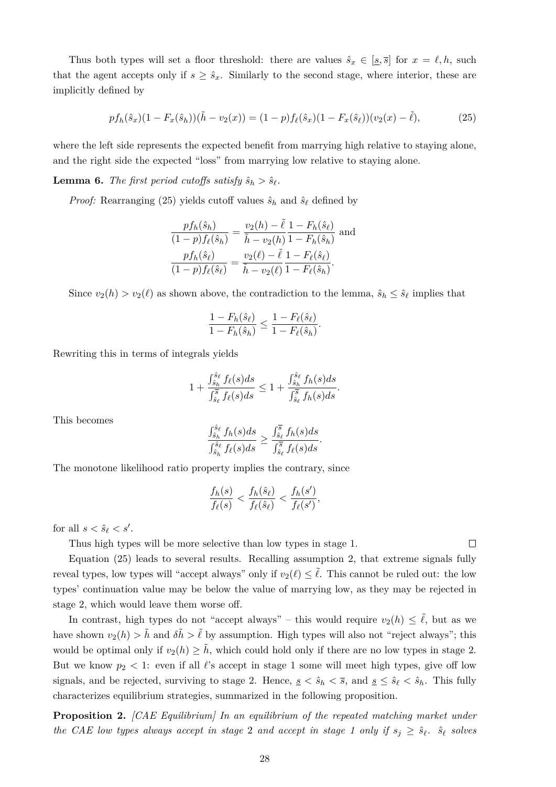Thus both types will set a floor threshold: there are values  $\hat{s}_x \in [\underline{s}, \overline{s}]$  for  $x = \ell, h$ , such that the agent accepts only if  $s \geq \hat{s}_x$ . Similarly to the second stage, where interior, these are implicitly defined by

$$
pf_h(\hat{s}_x)(1 - F_x(\hat{s}_h))(\tilde{h} - v_2(x)) = (1 - p)f_\ell(\hat{s}_x)(1 - F_x(\hat{s}_\ell))(v_2(x) - \tilde{\ell}),\tag{25}
$$

where the left side represents the expected benefit from marrying high relative to staying alone, and the right side the expected "loss" from marrying low relative to staying alone.

**Lemma 6.** *The first period cutoffs satisfy*  $\hat{s}_h > \hat{s}_\ell$ .

*Proof:* Rearranging (25) yields cutoff values  $\hat{s}_h$  and  $\hat{s}_\ell$  defined by

$$
\frac{pf_h(\hat{s}_h)}{(1-p)f_{\ell}(\hat{s}_h)} = \frac{v_2(h) - \tilde{\ell}}{\tilde{h} - v_2(h)} \frac{1 - F_h(\hat{s}_{\ell})}{1 - F_h(\hat{s}_h)} \text{ and}
$$

$$
\frac{pf_h(\hat{s}_{\ell})}{(1-p)f_{\ell}(\hat{s}_{\ell})} = \frac{v_2(\ell) - \tilde{\ell}}{\tilde{h} - v_2(\ell)} \frac{1 - F_{\ell}(\hat{s}_{\ell})}{1 - F_{\ell}(\hat{s}_h)}.
$$

Since  $v_2(h) > v_2(\ell)$  as shown above, the contradiction to the lemma,  $\hat{s}_h \leq \hat{s}_\ell$  implies that

$$
\frac{1 - F_h(\hat{s}_\ell)}{1 - F_h(\hat{s}_h)} \le \frac{1 - F_\ell(\hat{s}_\ell)}{1 - F_\ell(\hat{s}_h)}.
$$

Rewriting this in terms of integrals yields

$$
1 + \frac{\int_{\hat{s}_h}^{\hat{s}_\ell} f_\ell(s)ds}{\int_{\hat{s}_\ell}^{\overline{s}} f_\ell(s)ds} \le 1 + \frac{\int_{\hat{s}_h}^{\hat{s}_\ell} f_h(s)ds}{\int_{\hat{s}_\ell}^{\overline{s}} f_h(s)ds}.
$$

This becomes

$$
\frac{\int_{\hat{s}_h}^{\hat{s}_\ell} f_h(s)ds}{\int_{\hat{s}_h}^{\hat{s}_\ell} f_\ell(s)ds} \ge \frac{\int_{\hat{s}_\ell}^{\overline{s}} f_h(s)ds}{\int_{\hat{s}_\ell}^{\overline{s}} f_\ell(s)ds}.
$$

The monotone likelihood ratio property implies the contrary, since

$$
\frac{f_h(s)}{f_{\ell}(s)} < \frac{f_h(\hat{s}_{\ell})}{f_{\ell}(\hat{s}_{\ell})} < \frac{f_h(s')}{f_{\ell}(s')},
$$

for all  $s < \hat{s}_\ell < s'$ .

Thus high types will be more selective than low types in stage 1.

Equation (25) leads to several results. Recalling assumption 2, that extreme signals fully reveal types, low types will "accept always" only if  $v_2(\ell) \leq \tilde{\ell}$ . This cannot be ruled out: the low types' continuation value may be below the value of marrying low, as they may be rejected in stage 2, which would leave them worse off.

In contrast, high types do not "accept always" – this would require  $v_2(h) \leq \tilde{\ell}$ , but as we have shown  $v_2(h) > \tilde{h}$  and  $\delta \tilde{h} > \tilde{\ell}$  by assumption. High types will also not "reject always"; this would be optimal only if  $v_2(h) \geq \tilde{h}$ , which could hold only if there are no low types in stage 2. But we know  $p_2 < 1$ : even if all  $\ell$ 's accept in stage 1 some will meet high types, give off low signals, and be rejected, surviving to stage 2. Hence,  $s \leq \hat{s}_h \leq \bar{s}$ , and  $s \leq \hat{s}_\ell \leq \hat{s}_h$ . This fully characterizes equilibrium strategies, summarized in the following proposition.

**Proposition 2.** *[CAE Equilibrium] In an equilibrium of the repeated matching market under the CAE low types always accept in stage 2 and accept in stage 1 only if*  $s_j \geq \hat{s}_\ell$ .  $\hat{s}_\ell$  solves

 $\Box$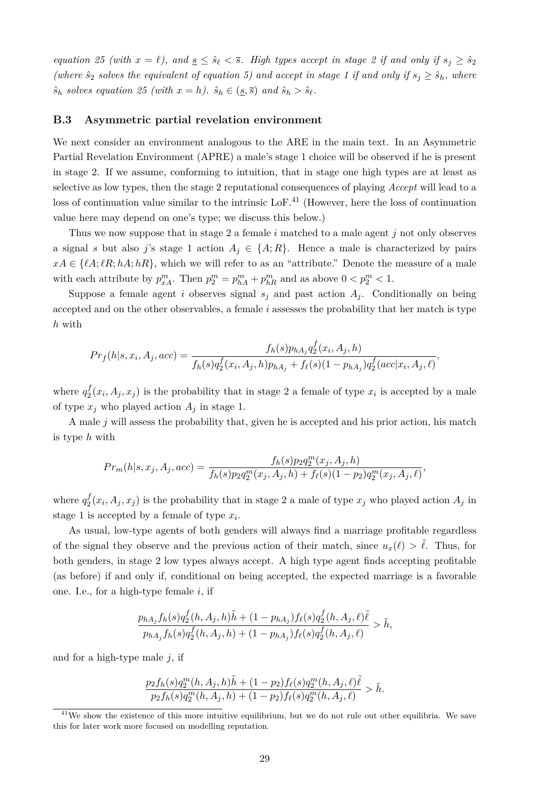*equation 25 (with*  $x = \ell$ ), and  $\underline{s} \leq \hat{s}_{\ell} < \overline{s}$ . High types accept in stage 2 if and only if  $s_j \geq \hat{s}_2$ *(where*  $\hat{s}_2$  *solves the equivalent of equation 5) and accept in stage 1 if and only if*  $s_j \geq \hat{s}_h$ *, where*  $\hat{s}_h$  solves equation 25 (with  $x = h$ ).  $\hat{s}_h \in (\underline{s}, \overline{s})$  and  $\hat{s}_h > \hat{s}_\ell$ .

#### **B.3 Asymmetric partial revelation environment**

We next consider an environment analogous to the ARE in the main text. In an Asymmetric Partial Revelation Environment (APRE) a male's stage 1 choice will be observed if he is present in stage 2. If we assume, conforming to intuition, that in stage one high types are at least as selective as low types, then the stage 2 reputational consequences of playing *Accept* will lead to a loss of continuation value similar to the intrinsic LoF.<sup>41</sup> (However, here the loss of continuation value here may depend on one's type; we discuss this below.)

Thus we now suppose that in stage 2 a female *i* matched to a male agent *j* not only observes a signal *s* but also *j*'s stage 1 action  $A_j \in \{A; R\}$ . Hence a male is characterized by pairs  $xA \in \{\ell A; \ell R; hA; hR\}$ , which we will refer to as an "attribute." Denote the measure of a male with each attribute by  $p_{xA}^m$ . Then  $p_2^m = p_{hA}^m + p_{hR}^m$  and as above  $0 < p_2^m < 1$ .

Suppose a female agent *i* observes signal  $s_i$  and past action  $A_i$ . Conditionally on being accepted and on the other observables, a female *i* assesses the probability that her match is type *h* with

$$
Pr_f(h|s, x_i, A_j, acc) = \frac{f_h(s)p_{hA_j}q_2^f(x_i, A_j, h)}{f_h(s)q_2^f(x_i, A_j, h)p_{hA_j} + f_{\ell}(s)(1 - p_{hA_j})q_2^f(acc|x_i, A_j, \ell)},
$$

where  $q_2^f$  $\frac{J}{2}(x_i, A_j, x_j)$  is the probability that in stage 2 a female of type  $x_i$  is accepted by a male of type  $x_j$  who played action  $A_j$  in stage 1.

A male *j* will assess the probability that, given he is accepted and his prior action, his match is type *h* with

$$
Pr_m(h|s, x_j, A_j, acc) = \frac{f_h(s)p_2 q_2^m(x_j, A_j, h)}{f_h(s)p_2 q_2^m(x_j, A_j, h) + f_{\ell}(s)(1 - p_2) q_2^m(x_j, A_j, \ell)},
$$

where  $q_2^f$  $\mathcal{L}_2^J(x_i, A_j, x_j)$  is the probability that in stage 2 a male of type  $x_j$  who played action  $A_j$  in stage 1 is accepted by a female of type *x<sup>i</sup>* .

As usual, low-type agents of both genders will always find a marriage profitable regardless of the signal they observe and the previous action of their match, since  $u_x(\ell) > \tilde{\ell}$ . Thus, for both genders, in stage 2 low types always accept. A high type agent finds accepting profitable (as before) if and only if, conditional on being accepted, the expected marriage is a favorable one. I.e., for a high-type female *i*, if

$$
\frac{p_{hA_j}f_h(s)q_2^f(h, A_j, h)\tilde{h} + (1 - p_{hA_j})f_{\ell}(s)q_2^f(h, A_j, \ell)\tilde{\ell}}{p_{hA_j}f_h(s)q_2^f(h, A_j, h) + (1 - p_{hA_j})f_{\ell}(s)q_2^f(h, A_j, \ell)} > \tilde{h},
$$

and for a high-type male *j*, if

$$
\frac{p_2f_h(s)q_2^m(h, A_j, h)\tilde{h} + (1 - p_2)f_{\ell}(s)q_2^m(h, A_j, \ell)\tilde{\ell}}{p_2f_h(s)q_2^m(h, A_j, h) + (1 - p_2)f_{\ell}(s)q_2^m(h, A_j, \ell)} > \tilde{h}.
$$

 $\frac{41}{41}$ We show the existence of this more intuitive equilibrium, but we do not rule out other equilibria. We save this for later work more focused on modelling reputation.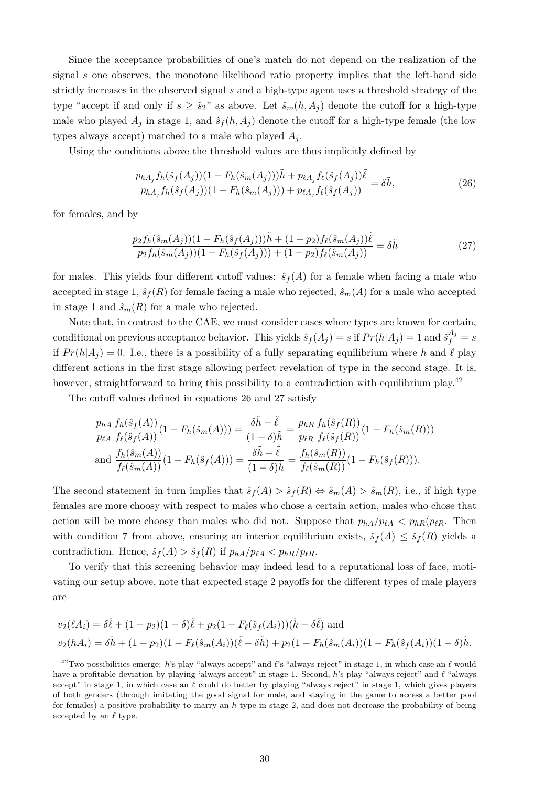Since the acceptance probabilities of one's match do not depend on the realization of the signal *s* one observes, the monotone likelihood ratio property implies that the left-hand side strictly increases in the observed signal *s* and a high-type agent uses a threshold strategy of the type "accept if and only if  $s \geq \hat{s}_2$ " as above. Let  $\hat{s}_m(h, A_i)$  denote the cutoff for a high-type male who played  $A_j$  in stage 1, and  $\hat{s}_f(h, A_j)$  denote the cutoff for a high-type female (the low types always accept) matched to a male who played  $A_i$ .

Using the conditions above the threshold values are thus implicitly defined by

$$
\frac{p_{hA_j}f_h(\hat{s}_f(A_j))(1 - F_h(\hat{s}_m(A_j)))\tilde{h} + p_{\ell A_j}f_{\ell}(\hat{s}_f(A_j))\tilde{\ell}}{p_{hA_j}f_h(\hat{s}_f(A_j))(1 - F_h(\hat{s}_m(A_j))) + p_{\ell A_j}f_{\ell}(\hat{s}_f(A_j))} = \delta\tilde{h},\tag{26}
$$

for females, and by

$$
\frac{p_2 f_h(\hat{s}_m(A_j))(1 - F_h(\hat{s}_f(A_j)))\tilde{h} + (1 - p_2)f_\ell(\hat{s}_m(A_j))\tilde{\ell}}{p_2 f_h(\hat{s}_m(A_j))(1 - F_h(\hat{s}_f(A_j))) + (1 - p_2)f_\ell(\hat{s}_m(A_j))} = \delta \tilde{h}
$$
\n(27)

for males. This yields four different cutoff values:  $\hat{s}_f(A)$  for a female when facing a male who accepted in stage 1,  $\hat{s}_f(R)$  for female facing a male who rejected,  $\hat{s}_m(A)$  for a male who accepted in stage 1 and  $\hat{s}_m(R)$  for a male who rejected.

Note that, in contrast to the CAE, we must consider cases where types are known for certain, conditional on previous acceptance behavior. This yields  $\hat{s}_f(A_j) = \underline{s}$  if  $Pr(h|A_j) = 1$  and  $\hat{s}_f^{A_j} = \overline{s}$ if  $Pr(h|A_i) = 0$ . I.e., there is a possibility of a fully separating equilibrium where h and  $\ell$  play different actions in the first stage allowing perfect revelation of type in the second stage. It is, however, straightforward to bring this possibility to a contradiction with equilibrium play.<sup>42</sup>

The cutoff values defined in equations 26 and 27 satisfy

$$
\frac{p_{hA}}{p_{\ell A}} \frac{f_h(\hat{s}_f(A))}{f_{\ell}(\hat{s}_f(A))} (1 - F_h(\hat{s}_m(A))) = \frac{\delta \tilde{h} - \tilde{\ell}}{(1 - \delta)\tilde{h}} = \frac{p_{hR}}{p_{\ell R}} \frac{f_h(\hat{s}_f(R))}{f_{\ell}(\hat{s}_f(R))} (1 - F_h(\hat{s}_m(R)))
$$
  
and 
$$
\frac{f_h(\hat{s}_m(A))}{f_{\ell}(\hat{s}_m(A))} (1 - F_h(\hat{s}_f(A))) = \frac{\delta \tilde{h} - \tilde{\ell}}{(1 - \delta)\tilde{h}} = \frac{f_h(\hat{s}_m(R))}{f_{\ell}(\hat{s}_m(R))} (1 - F_h(\hat{s}_f(R))).
$$

The second statement in turn implies that  $\hat{s}_f(A) > \hat{s}_f(R) \Leftrightarrow \hat{s}_m(A) > \hat{s}_m(R)$ , i.e., if high type females are more choosy with respect to males who chose a certain action, males who chose that action will be more choosy than males who did not. Suppose that  $p_{hA}/p_{\ell A} < p_{hR}(p_{\ell R}$ . Then with condition 7 from above, ensuring an interior equilibrium exists,  $\hat{s}_f(A) \leq \hat{s}_f(R)$  yields a contradiction. Hence,  $\hat{s}_f(A) > \hat{s}_f(R)$  if  $p_{hA}/p_{\ell A} < p_{hR}/p_{\ell R}$ .

To verify that this screening behavior may indeed lead to a reputational loss of face, motivating our setup above, note that expected stage 2 payoffs for the different types of male players are

$$
v_2(\ell A_i) = \delta \tilde{\ell} + (1 - p_2)(1 - \delta)\tilde{\ell} + p_2(1 - F_{\ell}(\hat{s}_f(A_i)))(\tilde{h} - \delta \tilde{\ell})
$$
 and  

$$
v_2(hA_i) = \delta \tilde{h} + (1 - p_2)(1 - F_{\ell}(\hat{s}_m(A_i))(\tilde{\ell} - \delta \tilde{h}) + p_2(1 - F_h(\hat{s}_m(A_i))(1 - F_h(\hat{s}_f(A_i)))(1 - \delta)\tilde{h}.
$$

<sup>&</sup>lt;sup>42</sup>Two possibilities emerge: *h*'s play "always accept" and  $\ell$ 's "always reject" in stage 1, in which case an  $\ell$  would have a profitable deviation by playing 'always accept" in stage 1. Second, *h*'s play "always reject" and  $\ell$  "always accept" in stage 1, in which case an  $\ell$  could do better by playing "always reject" in stage 1, which gives players of both genders (through imitating the good signal for male, and staying in the game to access a better pool for females) a positive probability to marry an *h* type in stage 2, and does not decrease the probability of being accepted by an  $\ell$  type.